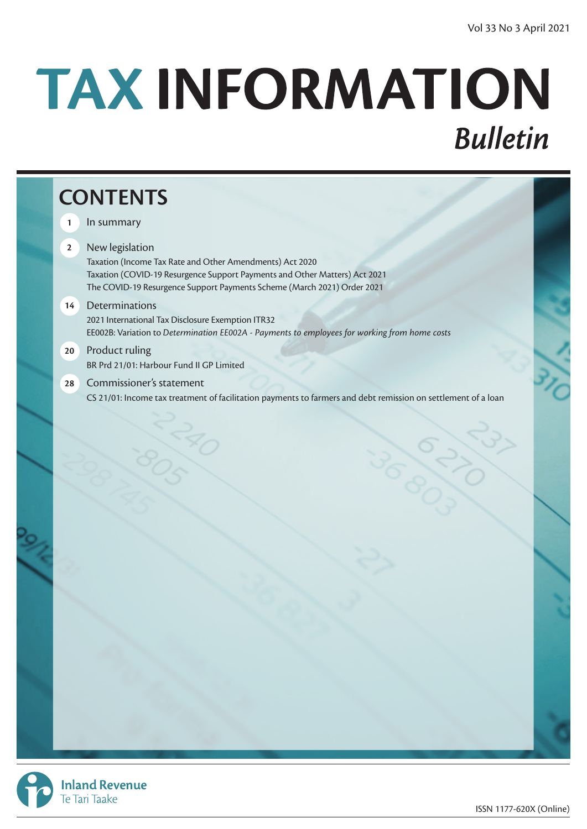# TAX INFORMATION **Bulletin**

# **CONTENTS**

- **1** In summary
- **2** New legislation Taxation (Income Tax Rate and Other Amendments) Act 2020 Taxation (COVID-19 Resurgence Support Payments and Other Matters) Act 2021 The COVID-19 Resurgence Support Payments Scheme (March 2021) Order 2021
- **14** Determinations 2021 International Tax Disclosure Exemption ITR32 EE002B: Variation to *Determination EE002A - Payments to employees for working from home costs*
- **20** Product ruling BR Prd 21/01: Harbour Fund II GP Limited
- **28** Commissioner's statement CS 21/01: Income tax treatment of facilitation payments to farmers and debt remission on settlement of a loan

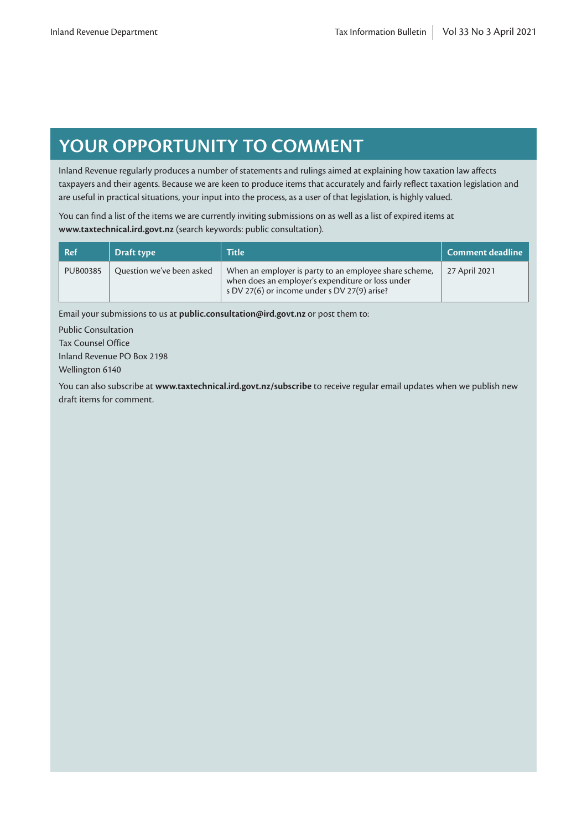# **YOUR OPPORTUNITY TO COMMENT**

Inland Revenue regularly produces a number of statements and rulings aimed at explaining how taxation law affects taxpayers and their agents. Because we are keen to produce items that accurately and fairly reflect taxation legislation and are useful in practical situations, your input into the process, as a user of that legislation, is highly valued.

You can find a list of the items we are currently inviting submissions on as well as a list of expired items at **www.taxtechnical.ird.govt.nz** (search keywords: public consultation).

| Ref             | Draft type                | <b>Title</b>                                                                                                                                                | Comment deadline |
|-----------------|---------------------------|-------------------------------------------------------------------------------------------------------------------------------------------------------------|------------------|
| <b>PUB00385</b> | Question we've been asked | When an employer is party to an employee share scheme,<br>when does an employer's expenditure or loss under<br>s DV 27(6) or income under s DV 27(9) arise? | 27 April 2021    |

Email your submissions to us at **public.consultation@ird.govt.nz** or post them to:

Public Consultation Tax Counsel Office Inland Revenue PO Box 2198 Wellington 6140

You can also subscribe at **www.taxtechnical.ird.govt.nz/subscribe** to receive regular email updates when we publish new draft items for comment.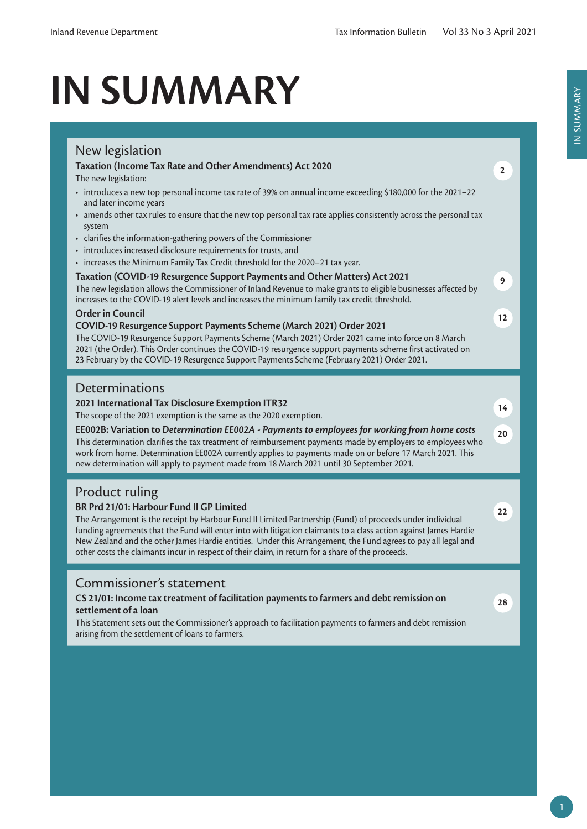# **IN SUMMARY**

| New legislation<br>Taxation (Income Tax Rate and Other Amendments) Act 2020                                                                                                                                                                                                                                              |              |
|--------------------------------------------------------------------------------------------------------------------------------------------------------------------------------------------------------------------------------------------------------------------------------------------------------------------------|--------------|
| The new legislation:                                                                                                                                                                                                                                                                                                     | $\mathbf{2}$ |
| • introduces a new top personal income tax rate of 39% on annual income exceeding \$180,000 for the 2021-22<br>and later income years                                                                                                                                                                                    |              |
| • amends other tax rules to ensure that the new top personal tax rate applies consistently across the personal tax<br>system                                                                                                                                                                                             |              |
| • clarifies the information-gathering powers of the Commissioner<br>• introduces increased disclosure requirements for trusts, and                                                                                                                                                                                       |              |
| • increases the Minimum Family Tax Credit threshold for the 2020-21 tax year.                                                                                                                                                                                                                                            |              |
| Taxation (COVID-19 Resurgence Support Payments and Other Matters) Act 2021                                                                                                                                                                                                                                               | 9            |
| The new legislation allows the Commissioner of Inland Revenue to make grants to eligible businesses affected by<br>increases to the COVID-19 alert levels and increases the minimum family tax credit threshold.                                                                                                         |              |
| <b>Order in Council</b>                                                                                                                                                                                                                                                                                                  | 12           |
| COVID-19 Resurgence Support Payments Scheme (March 2021) Order 2021<br>The COVID-19 Resurgence Support Payments Scheme (March 2021) Order 2021 came into force on 8 March                                                                                                                                                |              |
| 2021 (the Order). This Order continues the COVID-19 resurgence support payments scheme first activated on<br>23 February by the COVID-19 Resurgence Support Payments Scheme (February 2021) Order 2021.                                                                                                                  |              |
|                                                                                                                                                                                                                                                                                                                          |              |
| Determinations                                                                                                                                                                                                                                                                                                           |              |
| 2021 International Tax Disclosure Exemption ITR32                                                                                                                                                                                                                                                                        | 14           |
| The scope of the 2021 exemption is the same as the 2020 exemption.                                                                                                                                                                                                                                                       |              |
| EE002B: Variation to Determination EE002A - Payments to employees for working from home costs<br>This determination clarifies the tax treatment of reimbursement payments made by employers to employees who<br>work from home. Determination EE002A currently applies to payments made on or before 17 March 2021. This | 20           |
| new determination will apply to payment made from 18 March 2021 until 30 September 2021.                                                                                                                                                                                                                                 |              |
| <b>Product ruling</b>                                                                                                                                                                                                                                                                                                    |              |
| BR Prd 21/01: Harbour Fund II GP Limited<br>The Arrangement is the receipt by Harbour Fund II Limited Partnership (Fund) of proceeds under individual<br>funding agreements that the Fund will enter into with litigation claimants to a class action against James Hardie                                               | 22           |
| New Zealand and the other James Hardie entities. Under this Arrangement, the Fund agrees to pay all legal and<br>other costs the claimants incur in respect of their claim, in return for a share of the proceeds.                                                                                                       |              |
|                                                                                                                                                                                                                                                                                                                          |              |
| Commissioner's statement                                                                                                                                                                                                                                                                                                 |              |
| CS 21/01: Income tax treatment of facilitation payments to farmers and debt remission on<br>settlement of a loan                                                                                                                                                                                                         | 28           |
| This Statement sets out the Commissioner's approach to facilitation payments to farmers and debt remission<br>arising from the settlement of loans to farmers.                                                                                                                                                           |              |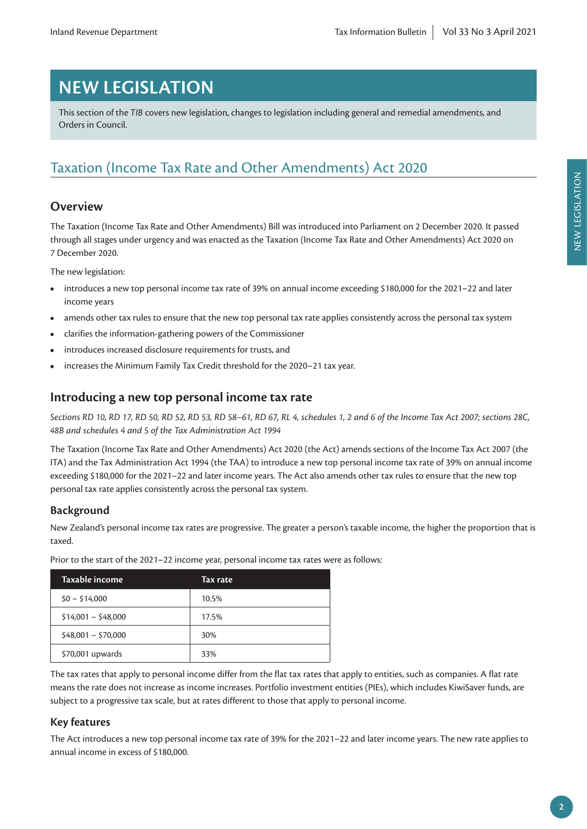# **NEW LEGISLATION**

This section of the *TIB* covers new legislation, changes to legislation including general and remedial amendments, and Orders in Council.

# Taxation (Income Tax Rate and Other Amendments) Act 2020

## **Overview**

The Taxation (Income Tax Rate and Other Amendments) Bill was introduced into Parliament on 2 December 2020. It passed through all stages under urgency and was enacted as the Taxation (Income Tax Rate and Other Amendments) Act 2020 on 7 December 2020.

The new legislation:

- introduces a new top personal income tax rate of 39% on annual income exceeding \$180,000 for the 2021–22 and later income years
- amends other tax rules to ensure that the new top personal tax rate applies consistently across the personal tax system
- clarifies the information-gathering powers of the Commissioner
- introduces increased disclosure requirements for trusts, and
- increases the Minimum Family Tax Credit threshold for the 2020–21 tax year.

## **Introducing a new top personal income tax rate**

*Sections RD 10, RD 17, RD 50, RD 52, RD 53, RD 58–61, RD 67, RL 4, schedules 1, 2 and 6 of the Income Tax Act 2007; sections 28C, 48B and schedules 4 and 5 of the Tax Administration Act 1994*

The Taxation (Income Tax Rate and Other Amendments) Act 2020 (the Act) amends sections of the Income Tax Act 2007 (the ITA) and the Tax Administration Act 1994 (the TAA) to introduce a new top personal income tax rate of 39% on annual income exceeding \$180,000 for the 2021–22 and later income years. The Act also amends other tax rules to ensure that the new top personal tax rate applies consistently across the personal tax system.

#### **Background**

New Zealand's personal income tax rates are progressive. The greater a person's taxable income, the higher the proportion that is taxed.

| Taxable income      | Tax rate |
|---------------------|----------|
| $$0 - $14,000$      | 10.5%    |
| $$14,001 - $48,000$ | 17.5%    |
| $$48,001 - $70,000$ | 30%      |
| \$70,001 upwards    | 33%      |

Prior to the start of the 2021–22 income year, personal income tax rates were as follows:

The tax rates that apply to personal income differ from the flat tax rates that apply to entities, such as companies. A flat rate means the rate does not increase as income increases. Portfolio investment entities (PIEs), which includes KiwiSaver funds, are subject to a progressive tax scale, but at rates different to those that apply to personal income.

#### **Key features**

The Act introduces a new top personal income tax rate of 39% for the 2021–22 and later income years. The new rate applies to annual income in excess of \$180,000.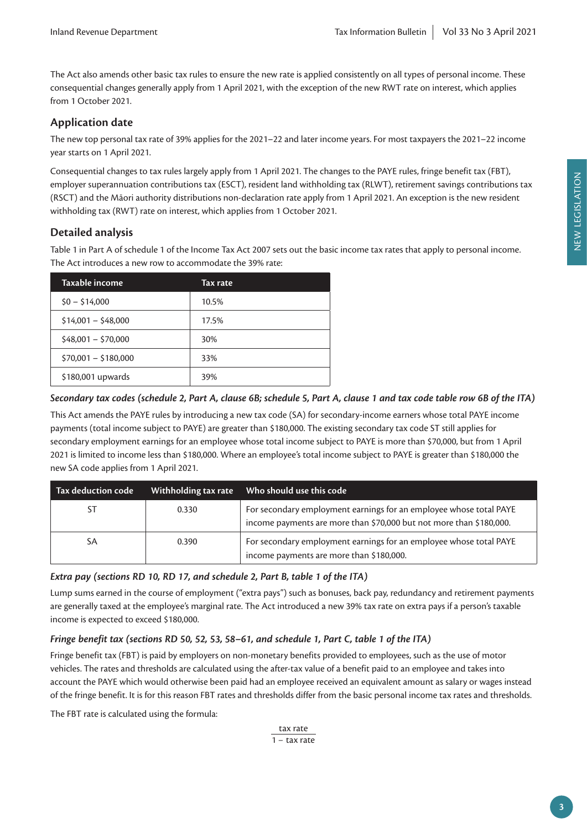The Act also amends other basic tax rules to ensure the new rate is applied consistently on all types of personal income. These consequential changes generally apply from 1 April 2021, with the exception of the new RWT rate on interest, which applies from 1 October 2021.

#### **Application date**

The new top personal tax rate of 39% applies for the 2021–22 and later income years. For most taxpayers the 2021–22 income year starts on 1 April 2021.

Consequential changes to tax rules largely apply from 1 April 2021. The changes to the PAYE rules, fringe benefit tax (FBT), employer superannuation contributions tax (ESCT), resident land withholding tax (RLWT), retirement savings contributions tax (RSCT) and the Māori authority distributions non-declaration rate apply from 1 April 2021. An exception is the new resident withholding tax (RWT) rate on interest, which applies from 1 October 2021.

## **Detailed analysis**

Table 1 in Part A of schedule 1 of the Income Tax Act 2007 sets out the basic income tax rates that apply to personal income. The Act introduces a new row to accommodate the 39% rate:

| Taxable income       | Tax rate |
|----------------------|----------|
| $$0 - $14,000$       | 10.5%    |
| $$14,001 - $48,000$  | 17.5%    |
| $$48,001 - $70,000$  | 30%      |
| $$70,001 - $180,000$ | 33%      |
| \$180,001 upwards    | 39%      |

#### *Secondary tax codes (schedule 2, Part A, clause 6B; schedule 5, Part A, clause 1 and tax code table row 6B of the ITA)*

This Act amends the PAYE rules by introducing a new tax code (SA) for secondary-income earners whose total PAYE income payments (total income subject to PAYE) are greater than \$180,000. The existing secondary tax code ST still applies for secondary employment earnings for an employee whose total income subject to PAYE is more than \$70,000, but from 1 April 2021 is limited to income less than \$180,000. Where an employee's total income subject to PAYE is greater than \$180,000 the new SA code applies from 1 April 2021.

| Tax deduction code | Withholding tax rate | Who should use this code                                                                                                                  |
|--------------------|----------------------|-------------------------------------------------------------------------------------------------------------------------------------------|
| ST                 | 0.330                | For secondary employment earnings for an employee whose total PAYE<br>income payments are more than \$70,000 but not more than \$180,000. |
| SA                 | 0.390                | For secondary employment earnings for an employee whose total PAYE<br>income payments are more than \$180,000.                            |

#### *Extra pay (sections RD 10, RD 17, and schedule 2, Part B, table 1 of the ITA)*

Lump sums earned in the course of employment ("extra pays") such as bonuses, back pay, redundancy and retirement payments are generally taxed at the employee's marginal rate. The Act introduced a new 39% tax rate on extra pays if a person's taxable income is expected to exceed \$180,000.

#### *Fringe benefit tax (sections RD 50, 52, 53, 58–61, and schedule 1, Part C, table 1 of the ITA)*

Fringe benefit tax (FBT) is paid by employers on non-monetary benefits provided to employees, such as the use of motor vehicles. The rates and thresholds are calculated using the after-tax value of a benefit paid to an employee and takes into account the PAYE which would otherwise been paid had an employee received an equivalent amount as salary or wages instead of the fringe benefit. It is for this reason FBT rates and thresholds differ from the basic personal income tax rates and thresholds.

The FBT rate is calculated using the formula:

tax rate 1 − tax rate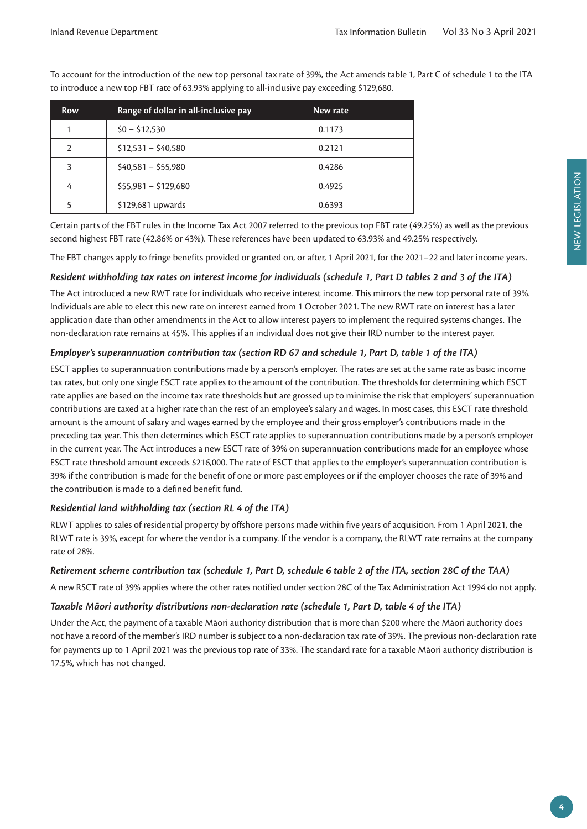| <b>Row</b>    | Range of dollar in all-inclusive pay | New rate |
|---------------|--------------------------------------|----------|
|               | $$0 - $12,530$                       | 0.1173   |
| $\mathcal{P}$ | $$12,531 - $40,580$                  | 0.2121   |
| 3             | $$40,581 - $55,980$                  | 0.4286   |
| 4             | $$55,981 - $129,680$                 | 0.4925   |
|               | \$129,681 upwards                    | 0.6393   |

To account for the introduction of the new top personal tax rate of 39%, the Act amends table 1, Part C of schedule 1 to the ITA to introduce a new top FBT rate of 63.93% applying to all-inclusive pay exceeding \$129,680.

Certain parts of the FBT rules in the Income Tax Act 2007 referred to the previous top FBT rate (49.25%) as well as the previous second highest FBT rate (42.86% or 43%). These references have been updated to 63.93% and 49.25% respectively.

The FBT changes apply to fringe benefits provided or granted on, or after, 1 April 2021, for the 2021–22 and later income years.

#### *Resident withholding tax rates on interest income for individuals (schedule 1, Part D tables 2 and 3 of the ITA)*

The Act introduced a new RWT rate for individuals who receive interest income. This mirrors the new top personal rate of 39%. Individuals are able to elect this new rate on interest earned from 1 October 2021. The new RWT rate on interest has a later application date than other amendments in the Act to allow interest payers to implement the required systems changes. The non-declaration rate remains at 45%. This applies if an individual does not give their IRD number to the interest payer.

#### *Employer's superannuation contribution tax (section RD 67 and schedule 1, Part D, table 1 of the ITA)*

ESCT applies to superannuation contributions made by a person's employer. The rates are set at the same rate as basic income tax rates, but only one single ESCT rate applies to the amount of the contribution. The thresholds for determining which ESCT rate applies are based on the income tax rate thresholds but are grossed up to minimise the risk that employers' superannuation contributions are taxed at a higher rate than the rest of an employee's salary and wages. In most cases, this ESCT rate threshold amount is the amount of salary and wages earned by the employee and their gross employer's contributions made in the preceding tax year. This then determines which ESCT rate applies to superannuation contributions made by a person's employer in the current year. The Act introduces a new ESCT rate of 39% on superannuation contributions made for an employee whose ESCT rate threshold amount exceeds \$216,000. The rate of ESCT that applies to the employer's superannuation contribution is 39% if the contribution is made for the benefit of one or more past employees or if the employer chooses the rate of 39% and the contribution is made to a defined benefit fund.

#### *Residential land withholding tax (section RL 4 of the ITA)*

RLWT applies to sales of residential property by offshore persons made within five years of acquisition. From 1 April 2021, the RLWT rate is 39%, except for where the vendor is a company. If the vendor is a company, the RLWT rate remains at the company rate of 28%.

#### *Retirement scheme contribution tax (schedule 1, Part D, schedule 6 table 2 of the ITA, section 28C of the TAA)*

A new RSCT rate of 39% applies where the other rates notified under section 28C of the Tax Administration Act 1994 do not apply.

#### *Taxable Māori authority distributions non-declaration rate (schedule 1, Part D, table 4 of the ITA)*

Under the Act, the payment of a taxable Māori authority distribution that is more than \$200 where the Māori authority does not have a record of the member's IRD number is subject to a non-declaration tax rate of 39%. The previous non-declaration rate for payments up to 1 April 2021 was the previous top rate of 33%. The standard rate for a taxable Māori authority distribution is 17.5%, which has not changed.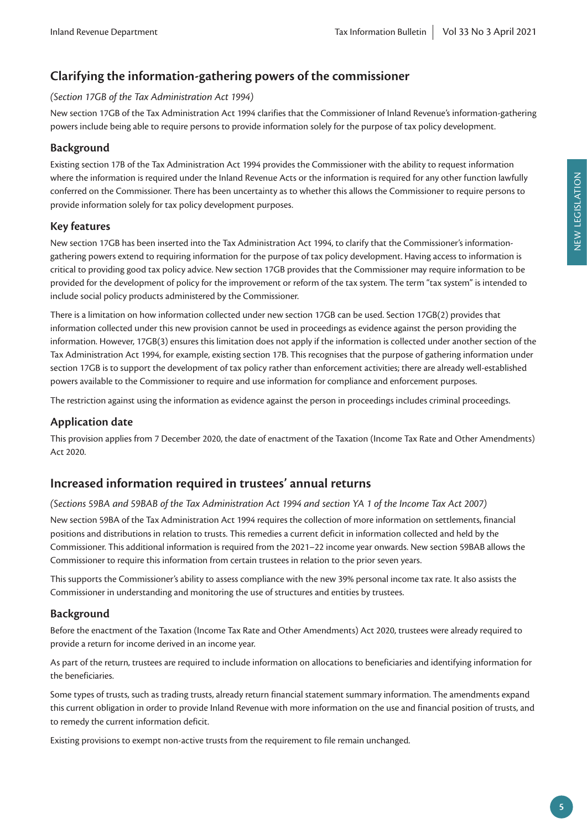# **Clarifying the information-gathering powers of the commissioner**

#### *(Section 17GB of the Tax Administration Act 1994)*

New section 17GB of the Tax Administration Act 1994 clarifies that the Commissioner of Inland Revenue's information-gathering powers include being able to require persons to provide information solely for the purpose of tax policy development.

#### **Background**

Existing section 17B of the Tax Administration Act 1994 provides the Commissioner with the ability to request information where the information is required under the Inland Revenue Acts or the information is required for any other function lawfully conferred on the Commissioner. There has been uncertainty as to whether this allows the Commissioner to require persons to provide information solely for tax policy development purposes.

#### **Key features**

New section 17GB has been inserted into the Tax Administration Act 1994, to clarify that the Commissioner's informationgathering powers extend to requiring information for the purpose of tax policy development. Having access to information is critical to providing good tax policy advice. New section 17GB provides that the Commissioner may require information to be provided for the development of policy for the improvement or reform of the tax system. The term "tax system" is intended to include social policy products administered by the Commissioner.

There is a limitation on how information collected under new section 17GB can be used. Section 17GB(2) provides that information collected under this new provision cannot be used in proceedings as evidence against the person providing the information. However, 17GB(3) ensures this limitation does not apply if the information is collected under another section of the Tax Administration Act 1994, for example, existing section 17B. This recognises that the purpose of gathering information under section 17GB is to support the development of tax policy rather than enforcement activities; there are already well-established powers available to the Commissioner to require and use information for compliance and enforcement purposes.

The restriction against using the information as evidence against the person in proceedings includes criminal proceedings.

## **Application date**

This provision applies from 7 December 2020, the date of enactment of the Taxation (Income Tax Rate and Other Amendments) Act 2020.

# **Increased information required in trustees' annual returns**

#### *(Sections 59BA and 59BAB of the Tax Administration Act 1994 and section YA 1 of the Income Tax Act 2007)*

New section 59BA of the Tax Administration Act 1994 requires the collection of more information on settlements, financial positions and distributions in relation to trusts. This remedies a current deficit in information collected and held by the Commissioner. This additional information is required from the 2021–22 income year onwards. New section 59BAB allows the Commissioner to require this information from certain trustees in relation to the prior seven years.

This supports the Commissioner's ability to assess compliance with the new 39% personal income tax rate. It also assists the Commissioner in understanding and monitoring the use of structures and entities by trustees.

#### **Background**

Before the enactment of the Taxation (Income Tax Rate and Other Amendments) Act 2020, trustees were already required to provide a return for income derived in an income year.

As part of the return, trustees are required to include information on allocations to beneficiaries and identifying information for the beneficiaries.

Some types of trusts, such as trading trusts, already return financial statement summary information. The amendments expand this current obligation in order to provide Inland Revenue with more information on the use and financial position of trusts, and to remedy the current information deficit.

Existing provisions to exempt non-active trusts from the requirement to file remain unchanged.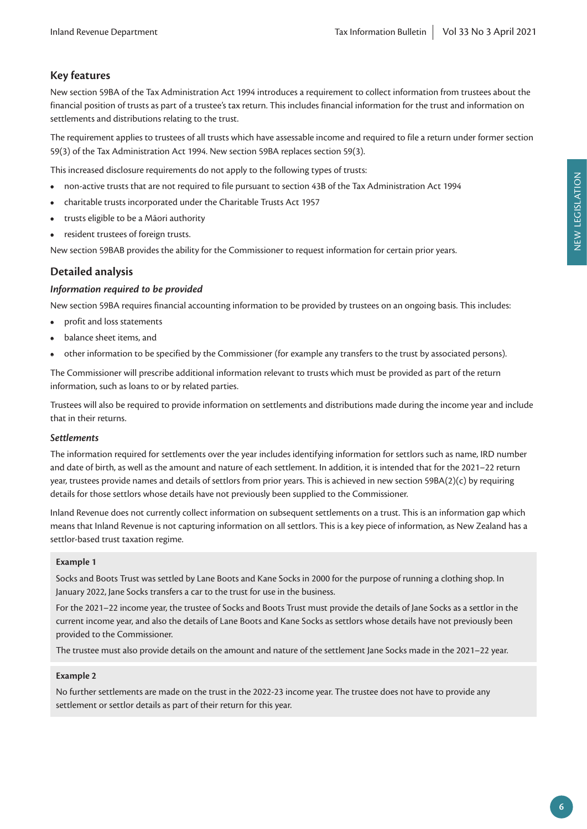## **Key features**

New section 59BA of the Tax Administration Act 1994 introduces a requirement to collect information from trustees about the financial position of trusts as part of a trustee's tax return. This includes financial information for the trust and information on settlements and distributions relating to the trust.

The requirement applies to trustees of all trusts which have assessable income and required to file a return under former section 59(3) of the Tax Administration Act 1994. New section 59BA replaces section 59(3).

This increased disclosure requirements do not apply to the following types of trusts:

- non-active trusts that are not required to file pursuant to section 43B of the Tax Administration Act 1994
- charitable trusts incorporated under the Charitable Trusts Act 1957
- trusts eligible to be a Māori authority
- resident trustees of foreign trusts.

New section 59BAB provides the ability for the Commissioner to request information for certain prior years.

## **Detailed analysis**

#### *Information required to be provided*

New section 59BA requires financial accounting information to be provided by trustees on an ongoing basis. This includes:

- profit and loss statements
- balance sheet items, and
- other information to be specified by the Commissioner (for example any transfers to the trust by associated persons).

The Commissioner will prescribe additional information relevant to trusts which must be provided as part of the return information, such as loans to or by related parties.

Trustees will also be required to provide information on settlements and distributions made during the income year and include that in their returns.

#### *Settlements*

The information required for settlements over the year includes identifying information for settlors such as name, IRD number and date of birth, as well as the amount and nature of each settlement. In addition, it is intended that for the 2021–22 return year, trustees provide names and details of settlors from prior years. This is achieved in new section 59BA(2)(c) by requiring details for those settlors whose details have not previously been supplied to the Commissioner.

Inland Revenue does not currently collect information on subsequent settlements on a trust. This is an information gap which means that Inland Revenue is not capturing information on all settlors. This is a key piece of information, as New Zealand has a settlor-based trust taxation regime.

#### **Example 1**

Socks and Boots Trust was settled by Lane Boots and Kane Socks in 2000 for the purpose of running a clothing shop. In January 2022, Jane Socks transfers a car to the trust for use in the business.

For the 2021–22 income year, the trustee of Socks and Boots Trust must provide the details of Jane Socks as a settlor in the current income year, and also the details of Lane Boots and Kane Socks as settlors whose details have not previously been provided to the Commissioner.

The trustee must also provide details on the amount and nature of the settlement Jane Socks made in the 2021–22 year.

#### **Example 2**

No further settlements are made on the trust in the 2022-23 income year. The trustee does not have to provide any settlement or settlor details as part of their return for this year.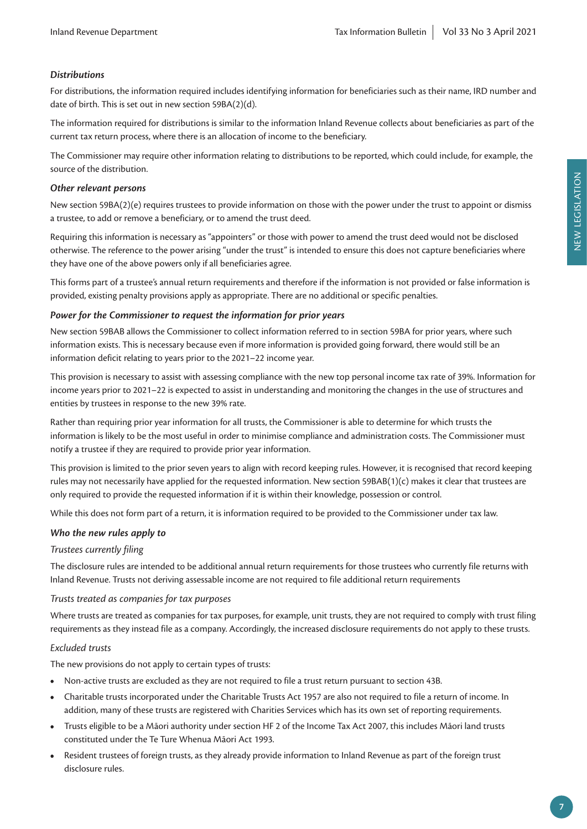#### *Distributions*

For distributions, the information required includes identifying information for beneficiaries such as their name, IRD number and date of birth. This is set out in new section 59BA(2)(d).

The information required for distributions is similar to the information Inland Revenue collects about beneficiaries as part of the current tax return process, where there is an allocation of income to the beneficiary.

The Commissioner may require other information relating to distributions to be reported, which could include, for example, the source of the distribution.

#### *Other relevant persons*

New section 59BA(2)(e) requires trustees to provide information on those with the power under the trust to appoint or dismiss a trustee, to add or remove a beneficiary, or to amend the trust deed.

Requiring this information is necessary as "appointers" or those with power to amend the trust deed would not be disclosed otherwise. The reference to the power arising "under the trust" is intended to ensure this does not capture beneficiaries where they have one of the above powers only if all beneficiaries agree.

This forms part of a trustee's annual return requirements and therefore if the information is not provided or false information is provided, existing penalty provisions apply as appropriate. There are no additional or specific penalties.

#### *Power for the Commissioner to request the information for prior years*

New section 59BAB allows the Commissioner to collect information referred to in section 59BA for prior years, where such information exists. This is necessary because even if more information is provided going forward, there would still be an information deficit relating to years prior to the 2021–22 income year.

This provision is necessary to assist with assessing compliance with the new top personal income tax rate of 39%. Information for income years prior to 2021–22 is expected to assist in understanding and monitoring the changes in the use of structures and entities by trustees in response to the new 39% rate.

Rather than requiring prior year information for all trusts, the Commissioner is able to determine for which trusts the information is likely to be the most useful in order to minimise compliance and administration costs. The Commissioner must notify a trustee if they are required to provide prior year information.

This provision is limited to the prior seven years to align with record keeping rules. However, it is recognised that record keeping rules may not necessarily have applied for the requested information. New section 59BAB(1)(c) makes it clear that trustees are only required to provide the requested information if it is within their knowledge, possession or control.

While this does not form part of a return, it is information required to be provided to the Commissioner under tax law.

#### *Who the new rules apply to*

#### *Trustees currently filing*

The disclosure rules are intended to be additional annual return requirements for those trustees who currently file returns with Inland Revenue. Trusts not deriving assessable income are not required to file additional return requirements

#### *Trusts treated as companies for tax purposes*

Where trusts are treated as companies for tax purposes, for example, unit trusts, they are not required to comply with trust filing requirements as they instead file as a company. Accordingly, the increased disclosure requirements do not apply to these trusts.

#### *Excluded trusts*

The new provisions do not apply to certain types of trusts:

- Non-active trusts are excluded as they are not required to file a trust return pursuant to section 43B.
- Charitable trusts incorporated under the Charitable Trusts Act 1957 are also not required to file a return of income. In addition, many of these trusts are registered with Charities Services which has its own set of reporting requirements.
- Trusts eligible to be a Māori authority under section HF 2 of the Income Tax Act 2007, this includes Māori land trusts constituted under the Te Ture Whenua Māori Act 1993.
- Resident trustees of foreign trusts, as they already provide information to Inland Revenue as part of the foreign trust disclosure rules.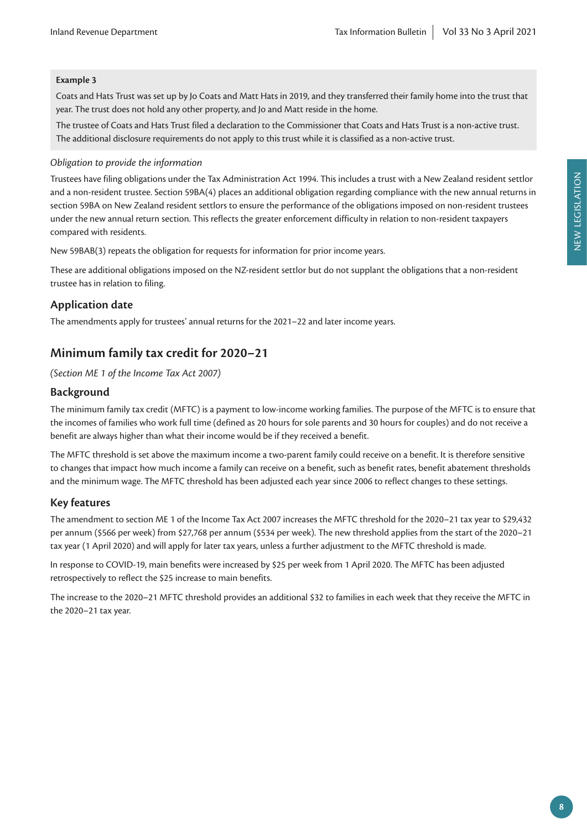#### **Example 3**

Coats and Hats Trust was set up by Jo Coats and Matt Hats in 2019, and they transferred their family home into the trust that year. The trust does not hold any other property, and Jo and Matt reside in the home.

The trustee of Coats and Hats Trust filed a declaration to the Commissioner that Coats and Hats Trust is a non-active trust. The additional disclosure requirements do not apply to this trust while it is classified as a non-active trust.

#### *Obligation to provide the information*

Trustees have filing obligations under the Tax Administration Act 1994. This includes a trust with a New Zealand resident settlor and a non-resident trustee. Section 59BA(4) places an additional obligation regarding compliance with the new annual returns in section 59BA on New Zealand resident settlors to ensure the performance of the obligations imposed on non-resident trustees under the new annual return section. This reflects the greater enforcement difficulty in relation to non-resident taxpayers compared with residents.

New 59BAB(3) repeats the obligation for requests for information for prior income years.

These are additional obligations imposed on the NZ-resident settlor but do not supplant the obligations that a non-resident trustee has in relation to filing.

#### **Application date**

The amendments apply for trustees' annual returns for the 2021–22 and later income years.

## **Minimum family tax credit for 2020–21**

*(Section ME 1 of the Income Tax Act 2007)*

#### **Background**

The minimum family tax credit (MFTC) is a payment to low-income working families. The purpose of the MFTC is to ensure that the incomes of families who work full time (defined as 20 hours for sole parents and 30 hours for couples) and do not receive a benefit are always higher than what their income would be if they received a benefit.

The MFTC threshold is set above the maximum income a two-parent family could receive on a benefit. It is therefore sensitive to changes that impact how much income a family can receive on a benefit, such as benefit rates, benefit abatement thresholds and the minimum wage. The MFTC threshold has been adjusted each year since 2006 to reflect changes to these settings.

#### **Key features**

The amendment to section ME 1 of the Income Tax Act 2007 increases the MFTC threshold for the 2020–21 tax year to \$29,432 per annum (\$566 per week) from \$27,768 per annum (\$534 per week). The new threshold applies from the start of the 2020–21 tax year (1 April 2020) and will apply for later tax years, unless a further adjustment to the MFTC threshold is made.

In response to COVID-19, main benefits were increased by \$25 per week from 1 April 2020. The MFTC has been adjusted retrospectively to reflect the \$25 increase to main benefits.

The increase to the 2020–21 MFTC threshold provides an additional \$32 to families in each week that they receive the MFTC in the 2020–21 tax year.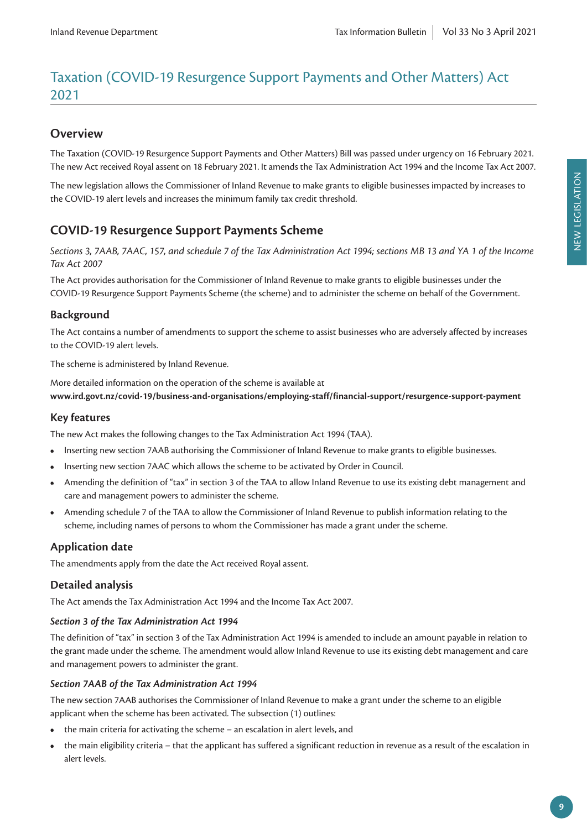# Taxation (COVID-19 Resurgence Support Payments and Other Matters) Act 2021

# **Overview**

The Taxation (COVID-19 Resurgence Support Payments and Other Matters) Bill was passed under urgency on 16 February 2021. The new Act received Royal assent on 18 February 2021. It amends the Tax Administration Act 1994 and the Income Tax Act 2007.

The new legislation allows the Commissioner of Inland Revenue to make grants to eligible businesses impacted by increases to the COVID-19 alert levels and increases the minimum family tax credit threshold.

# **COVID-19 Resurgence Support Payments Scheme**

*Sections 3, 7AAB, 7AAC, 157, and schedule 7 of the Tax Administration Act 1994; sections MB 13 and YA 1 of the Income Tax Act 2007*

The Act provides authorisation for the Commissioner of Inland Revenue to make grants to eligible businesses under the COVID-19 Resurgence Support Payments Scheme (the scheme) and to administer the scheme on behalf of the Government.

## **Background**

The Act contains a number of amendments to support the scheme to assist businesses who are adversely affected by increases to the COVID-19 alert levels.

The scheme is administered by Inland Revenue.

More detailed information on the operation of the scheme is available at **www.ird.govt.nz/covid-19/business-and-organisations/employing-staff/financial-support/resurgence-support-payment**

#### **Key features**

The new Act makes the following changes to the Tax Administration Act 1994 (TAA).

- Inserting new section 7AAB authorising the Commissioner of Inland Revenue to make grants to eligible businesses.
- Inserting new section 7AAC which allows the scheme to be activated by Order in Council.
- Amending the definition of "tax" in section 3 of the TAA to allow Inland Revenue to use its existing debt management and care and management powers to administer the scheme.
- Amending schedule 7 of the TAA to allow the Commissioner of Inland Revenue to publish information relating to the scheme, including names of persons to whom the Commissioner has made a grant under the scheme.

## **Application date**

The amendments apply from the date the Act received Royal assent.

#### **Detailed analysis**

The Act amends the Tax Administration Act 1994 and the Income Tax Act 2007.

#### *Section 3 of the Tax Administration Act 1994*

The definition of "tax" in section 3 of the Tax Administration Act 1994 is amended to include an amount payable in relation to the grant made under the scheme. The amendment would allow Inland Revenue to use its existing debt management and care and management powers to administer the grant.

#### *Section 7AAB of the Tax Administration Act 1994*

The new section 7AAB authorises the Commissioner of Inland Revenue to make a grant under the scheme to an eligible applicant when the scheme has been activated. The subsection (1) outlines:

- the main criteria for activating the scheme an escalation in alert levels, and
- the main eligibility criteria that the applicant has suffered a significant reduction in revenue as a result of the escalation in alert levels.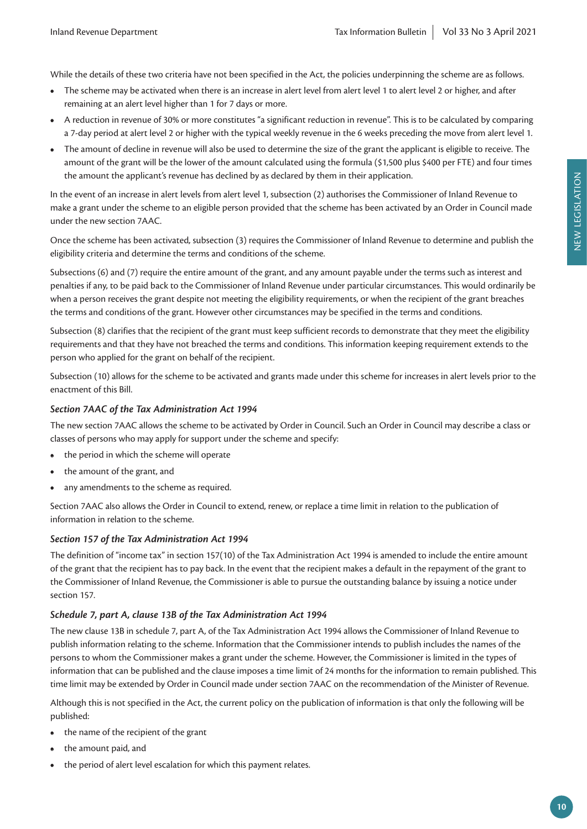While the details of these two criteria have not been specified in the Act, the policies underpinning the scheme are as follows.

- The scheme may be activated when there is an increase in alert level from alert level 1 to alert level 2 or higher, and after remaining at an alert level higher than 1 for 7 days or more.
- A reduction in revenue of 30% or more constitutes "a significant reduction in revenue". This is to be calculated by comparing a 7-day period at alert level 2 or higher with the typical weekly revenue in the 6 weeks preceding the move from alert level 1.
- The amount of decline in revenue will also be used to determine the size of the grant the applicant is eligible to receive. The amount of the grant will be the lower of the amount calculated using the formula (\$1,500 plus \$400 per FTE) and four times the amount the applicant's revenue has declined by as declared by them in their application.

In the event of an increase in alert levels from alert level 1, subsection (2) authorises the Commissioner of Inland Revenue to make a grant under the scheme to an eligible person provided that the scheme has been activated by an Order in Council made under the new section 7AAC.

Once the scheme has been activated, subsection (3) requires the Commissioner of Inland Revenue to determine and publish the eligibility criteria and determine the terms and conditions of the scheme.

Subsections (6) and (7) require the entire amount of the grant, and any amount payable under the terms such as interest and penalties if any, to be paid back to the Commissioner of Inland Revenue under particular circumstances. This would ordinarily be when a person receives the grant despite not meeting the eligibility requirements, or when the recipient of the grant breaches the terms and conditions of the grant. However other circumstances may be specified in the terms and conditions.

Subsection (8) clarifies that the recipient of the grant must keep sufficient records to demonstrate that they meet the eligibility requirements and that they have not breached the terms and conditions. This information keeping requirement extends to the person who applied for the grant on behalf of the recipient.

Subsection (10) allows for the scheme to be activated and grants made under this scheme for increases in alert levels prior to the enactment of this Bill.

#### *Section 7AAC of the Tax Administration Act 1994*

The new section 7AAC allows the scheme to be activated by Order in Council. Such an Order in Council may describe a class or classes of persons who may apply for support under the scheme and specify:

- the period in which the scheme will operate
- the amount of the grant, and
- any amendments to the scheme as required.

Section 7AAC also allows the Order in Council to extend, renew, or replace a time limit in relation to the publication of information in relation to the scheme.

#### *Section 157 of the Tax Administration Act 1994*

The definition of "income tax" in section 157(10) of the Tax Administration Act 1994 is amended to include the entire amount of the grant that the recipient has to pay back. In the event that the recipient makes a default in the repayment of the grant to the Commissioner of Inland Revenue, the Commissioner is able to pursue the outstanding balance by issuing a notice under section 157.

#### *Schedule 7, part A, clause 13B of the Tax Administration Act 1994*

The new clause 13B in schedule 7, part A, of the Tax Administration Act 1994 allows the Commissioner of Inland Revenue to publish information relating to the scheme. Information that the Commissioner intends to publish includes the names of the persons to whom the Commissioner makes a grant under the scheme. However, the Commissioner is limited in the types of information that can be published and the clause imposes a time limit of 24 months for the information to remain published. This time limit may be extended by Order in Council made under section 7AAC on the recommendation of the Minister of Revenue.

Although this is not specified in the Act, the current policy on the publication of information is that only the following will be published:

- the name of the recipient of the grant
- the amount paid, and
- the period of alert level escalation for which this payment relates.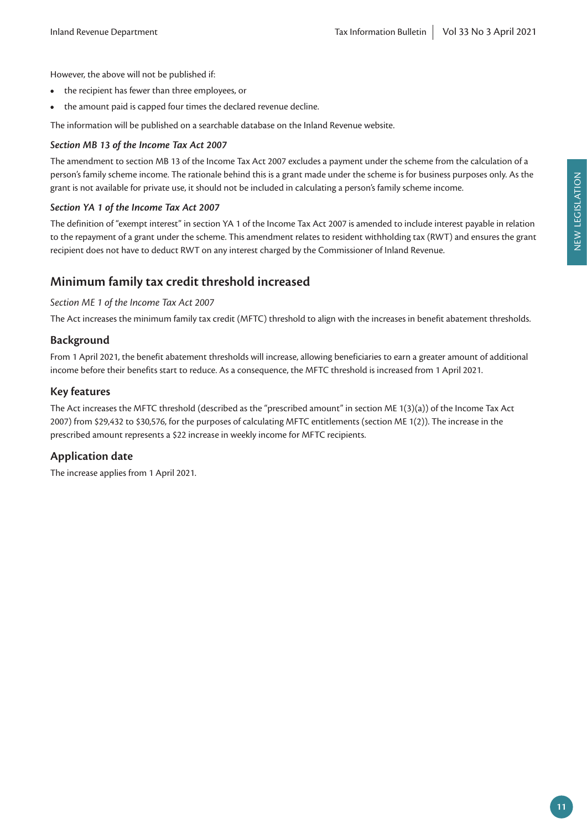- the recipient has fewer than three employees, or
- the amount paid is capped four times the declared revenue decline.

The information will be published on a searchable database on the Inland Revenue website.

#### *Section MB 13 of the Income Tax Act 2007*

The amendment to section MB 13 of the Income Tax Act 2007 excludes a payment under the scheme from the calculation of a person's family scheme income. The rationale behind this is a grant made under the scheme is for business purposes only. As the grant is not available for private use, it should not be included in calculating a person's family scheme income.

#### *Section YA 1 of the Income Tax Act 2007*

The definition of "exempt interest" in section YA 1 of the Income Tax Act 2007 is amended to include interest payable in relation to the repayment of a grant under the scheme. This amendment relates to resident withholding tax (RWT) and ensures the grant recipient does not have to deduct RWT on any interest charged by the Commissioner of Inland Revenue.

#### **Minimum family tax credit threshold increased**

#### *Section ME 1 of the Income Tax Act 2007*

The Act increases the minimum family tax credit (MFTC) threshold to align with the increases in benefit abatement thresholds.

#### **Background**

From 1 April 2021, the benefit abatement thresholds will increase, allowing beneficiaries to earn a greater amount of additional income before their benefits start to reduce. As a consequence, the MFTC threshold is increased from 1 April 2021.

#### **Key features**

The Act increases the MFTC threshold (described as the "prescribed amount" in section ME 1(3)(a)) of the Income Tax Act 2007) from \$29,432 to \$30,576, for the purposes of calculating MFTC entitlements (section ME 1(2)). The increase in the prescribed amount represents a \$22 increase in weekly income for MFTC recipients.

#### **Application date**

The increase applies from 1 April 2021.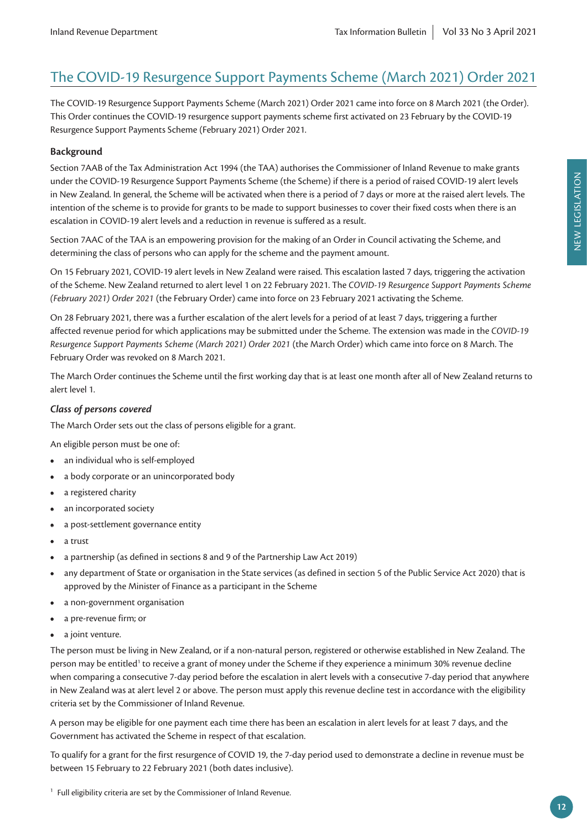# The COVID-19 Resurgence Support Payments Scheme (March 2021) Order 2021

The COVID-19 Resurgence Support Payments Scheme (March 2021) Order 2021 came into force on 8 March 2021 (the Order). This Order continues the COVID-19 resurgence support payments scheme first activated on 23 February by the COVID-19 Resurgence Support Payments Scheme (February 2021) Order 2021.

#### **Background**

Section 7AAB of the Tax Administration Act 1994 (the TAA) authorises the Commissioner of Inland Revenue to make grants under the COVID-19 Resurgence Support Payments Scheme (the Scheme) if there is a period of raised COVID-19 alert levels in New Zealand. In general, the Scheme will be activated when there is a period of 7 days or more at the raised alert levels. The intention of the scheme is to provide for grants to be made to support businesses to cover their fixed costs when there is an escalation in COVID-19 alert levels and a reduction in revenue is suffered as a result.

Section 7AAC of the TAA is an empowering provision for the making of an Order in Council activating the Scheme, and determining the class of persons who can apply for the scheme and the payment amount.

On 15 February 2021, COVID-19 alert levels in New Zealand were raised. This escalation lasted 7 days, triggering the activation of the Scheme. New Zealand returned to alert level 1 on 22 February 2021. The *COVID-19 Resurgence Support Payments Scheme (February 2021) Order 2021* (the February Order) came into force on 23 February 2021 activating the Scheme.

On 28 February 2021, there was a further escalation of the alert levels for a period of at least 7 days, triggering a further affected revenue period for which applications may be submitted under the Scheme. The extension was made in the *COVID-19 Resurgence Support Payments Scheme (March 2021) Order 2021* (the March Order) which came into force on 8 March. The February Order was revoked on 8 March 2021.

The March Order continues the Scheme until the first working day that is at least one month after all of New Zealand returns to alert level 1.

#### *Class of persons covered*

The March Order sets out the class of persons eligible for a grant.

An eligible person must be one of:

- an individual who is self-employed
- a body corporate or an unincorporated body
- a registered charity
- an incorporated society
- a post-settlement governance entity
- a trust
- a partnership (as defined in sections 8 and 9 of the Partnership Law Act 2019)
- any department of State or organisation in the State services (as defined in section 5 of the Public Service Act 2020) that is approved by the Minister of Finance as a participant in the Scheme
- a non-government organisation
- a pre-revenue firm; or
- a joint venture.

The person must be living in New Zealand, or if a non-natural person, registered or otherwise established in New Zealand. The person may be entitled<sup>1</sup> to receive a grant of money under the Scheme if they experience a minimum 30% revenue decline when comparing a consecutive 7-day period before the escalation in alert levels with a consecutive 7-day period that anywhere in New Zealand was at alert level 2 or above. The person must apply this revenue decline test in accordance with the eligibility criteria set by the Commissioner of Inland Revenue.

A person may be eligible for one payment each time there has been an escalation in alert levels for at least 7 days, and the Government has activated the Scheme in respect of that escalation.

To qualify for a grant for the first resurgence of COVID 19, the 7-day period used to demonstrate a decline in revenue must be between 15 February to 22 February 2021 (both dates inclusive).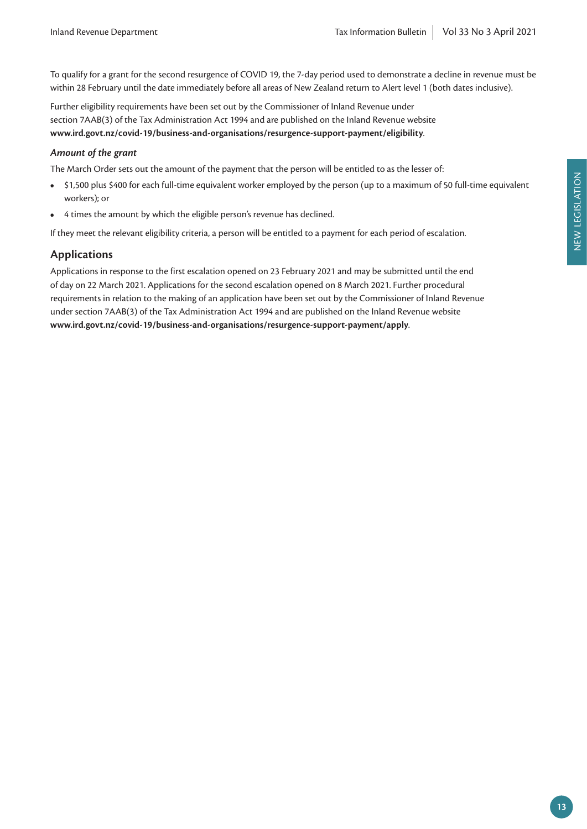To qualify for a grant for the second resurgence of COVID 19, the 7-day period used to demonstrate a decline in revenue must be within 28 February until the date immediately before all areas of New Zealand return to Alert level 1 (both dates inclusive).

Further eligibility requirements have been set out by the Commissioner of Inland Revenue under section 7AAB(3) of the Tax Administration Act 1994 and are published on the Inland Revenue website **www.ird.govt.nz/covid-19/business-and-organisations/resurgence-support-payment/eligibility**.

#### *Amount of the grant*

The March Order sets out the amount of the payment that the person will be entitled to as the lesser of:

- \$1,500 plus \$400 for each full-time equivalent worker employed by the person (up to a maximum of 50 full-time equivalent workers); or
- 4 times the amount by which the eligible person's revenue has declined.

If they meet the relevant eligibility criteria, a person will be entitled to a payment for each period of escalation.

#### **Applications**

Applications in response to the first escalation opened on 23 February 2021 and may be submitted until the end of day on 22 March 2021. Applications for the second escalation opened on 8 March 2021. Further procedural requirements in relation to the making of an application have been set out by the Commissioner of Inland Revenue under section 7AAB(3) of the Tax Administration Act 1994 and are published on the Inland Revenue website **www.ird.govt.nz/covid-19/business-and-organisations/resurgence-support-payment/apply**.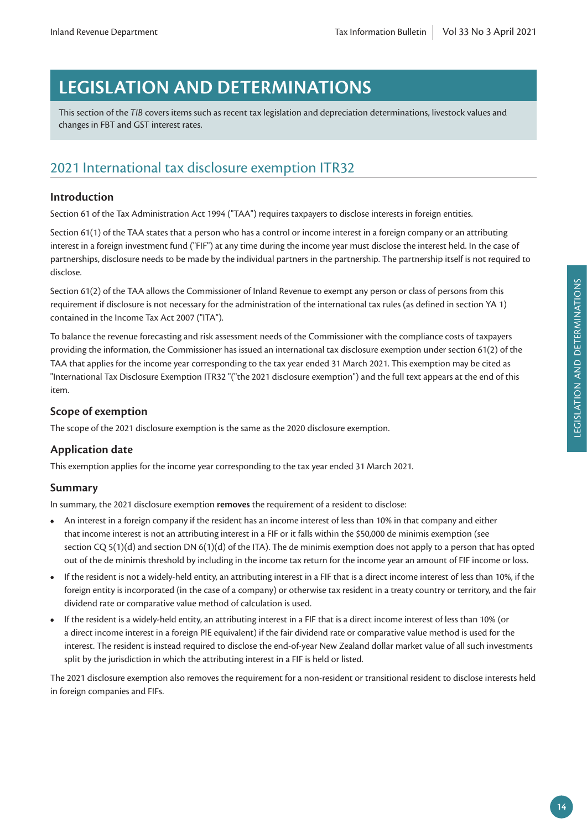# **LEGISLATION AND DETERMINATIONS**

This section of the *TIB* covers items such as recent tax legislation and depreciation determinations, livestock values and changes in FBT and GST interest rates.

# 2021 International tax disclosure exemption ITR32

#### **Introduction**

Section 61 of the Tax Administration Act 1994 ("TAA") requires taxpayers to disclose interests in foreign entities.

Section 61(1) of the TAA states that a person who has a control or income interest in a foreign company or an attributing interest in a foreign investment fund ("FIF") at any time during the income year must disclose the interest held. In the case of partnerships, disclosure needs to be made by the individual partners in the partnership. The partnership itself is not required to disclose.

Section 61(2) of the TAA allows the Commissioner of Inland Revenue to exempt any person or class of persons from this requirement if disclosure is not necessary for the administration of the international tax rules (as defined in section YA 1) contained in the Income Tax Act 2007 ("ITA").

To balance the revenue forecasting and risk assessment needs of the Commissioner with the compliance costs of taxpayers providing the information, the Commissioner has issued an international tax disclosure exemption under section 61(2) of the TAA that applies for the income year corresponding to the tax year ended 31 March 2021. This exemption may be cited as "International Tax Disclosure Exemption ITR32 "("the 2021 disclosure exemption") and the full text appears at the end of this item.

#### **Scope of exemption**

The scope of the 2021 disclosure exemption is the same as the 2020 disclosure exemption.

#### **Application date**

This exemption applies for the income year corresponding to the tax year ended 31 March 2021.

#### **Summary**

In summary, the 2021 disclosure exemption **removes** the requirement of a resident to disclose:

- An interest in a foreign company if the resident has an income interest of less than 10% in that company and either that income interest is not an attributing interest in a FIF or it falls within the \$50,000 de minimis exemption (see section CQ 5(1)(d) and section DN 6(1)(d) of the ITA). The de minimis exemption does not apply to a person that has opted out of the de minimis threshold by including in the income tax return for the income year an amount of FIF income or loss.
- If the resident is not a widely-held entity, an attributing interest in a FIF that is a direct income interest of less than 10%, if the foreign entity is incorporated (in the case of a company) or otherwise tax resident in a treaty country or territory, and the fair dividend rate or comparative value method of calculation is used.
- If the resident is a widely-held entity, an attributing interest in a FIF that is a direct income interest of less than 10% (or a direct income interest in a foreign PIE equivalent) if the fair dividend rate or comparative value method is used for the interest. The resident is instead required to disclose the end-of-year New Zealand dollar market value of all such investments split by the jurisdiction in which the attributing interest in a FIF is held or listed.

The 2021 disclosure exemption also removes the requirement for a non-resident or transitional resident to disclose interests held in foreign companies and FIFs.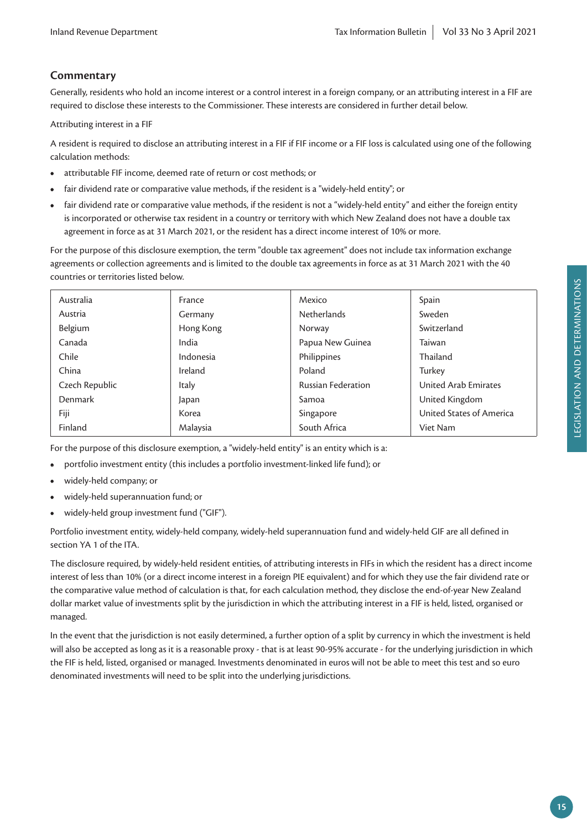## **Commentary**

Generally, residents who hold an income interest or a control interest in a foreign company, or an attributing interest in a FIF are required to disclose these interests to the Commissioner. These interests are considered in further detail below.

Attributing interest in a FIF

A resident is required to disclose an attributing interest in a FIF if FIF income or a FIF loss is calculated using one of the following calculation methods:

- attributable FIF income, deemed rate of return or cost methods; or
- fair dividend rate or comparative value methods, if the resident is a "widely-held entity"; or
- fair dividend rate or comparative value methods, if the resident is not a "widely-held entity" and either the foreign entity is incorporated or otherwise tax resident in a country or territory with which New Zealand does not have a double tax agreement in force as at 31 March 2021, or the resident has a direct income interest of 10% or more.

For the purpose of this disclosure exemption, the term "double tax agreement" does not include tax information exchange agreements or collection agreements and is limited to the double tax agreements in force as at 31 March 2021 with the 40 countries or territories listed below.

| Australia      | France    | Mexico                    | Spain                    |
|----------------|-----------|---------------------------|--------------------------|
| Austria        | Germany   | <b>Netherlands</b>        | Sweden                   |
| Belgium        | Hong Kong | Norway                    | Switzerland              |
| Canada         | India     | Papua New Guinea          | Taiwan                   |
| Chile          | Indonesia | Philippines               | Thailand                 |
| China          | Ireland   | Poland                    | Turkey                   |
| Czech Republic | Italy     | <b>Russian Federation</b> | United Arab Emirates     |
| Denmark        | Japan     | Samoa                     | United Kingdom           |
| Fiji           | Korea     | Singapore                 | United States of America |
| Finland        | Malaysia  | South Africa              | Viet Nam                 |
|                |           |                           |                          |

For the purpose of this disclosure exemption, a "widely-held entity" is an entity which is a:

- portfolio investment entity (this includes a portfolio investment-linked life fund); or
- widely-held company; or
- widely-held superannuation fund; or
- widely-held group investment fund ("GIF").

Portfolio investment entity, widely-held company, widely-held superannuation fund and widely-held GIF are all defined in section YA 1 of the ITA.

The disclosure required, by widely-held resident entities, of attributing interests in FIFs in which the resident has a direct income interest of less than 10% (or a direct income interest in a foreign PIE equivalent) and for which they use the fair dividend rate or the comparative value method of calculation is that, for each calculation method, they disclose the end-of-year New Zealand dollar market value of investments split by the jurisdiction in which the attributing interest in a FIF is held, listed, organised or managed.

In the event that the jurisdiction is not easily determined, a further option of a split by currency in which the investment is held will also be accepted as long as it is a reasonable proxy - that is at least 90-95% accurate - for the underlying jurisdiction in which the FIF is held, listed, organised or managed. Investments denominated in euros will not be able to meet this test and so euro denominated investments will need to be split into the underlying jurisdictions.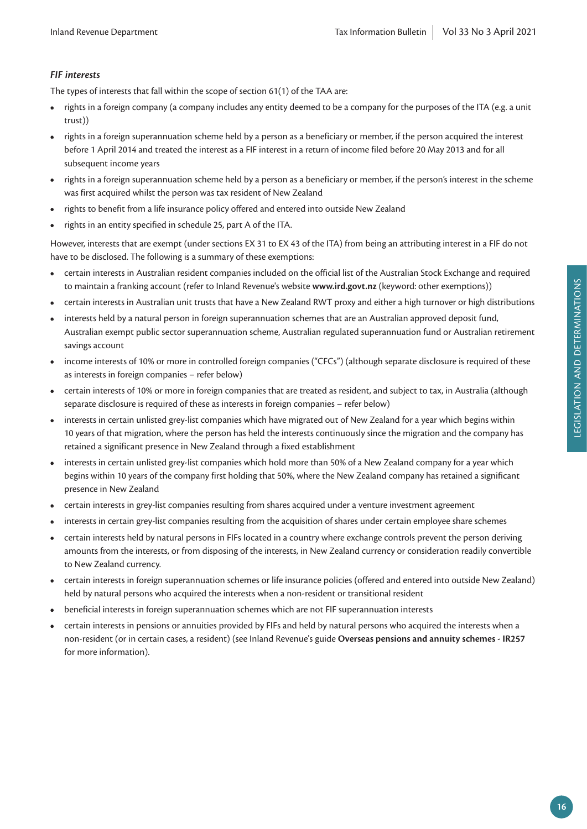### *FIF interests*

The types of interests that fall within the scope of section 61(1) of the TAA are:

- rights in a foreign company (a company includes any entity deemed to be a company for the purposes of the ITA (e.g. a unit trust))
- rights in a foreign superannuation scheme held by a person as a beneficiary or member, if the person acquired the interest before 1 April 2014 and treated the interest as a FIF interest in a return of income filed before 20 May 2013 and for all subsequent income years
- rights in a foreign superannuation scheme held by a person as a beneficiary or member, if the person's interest in the scheme was first acquired whilst the person was tax resident of New Zealand
- rights to benefit from a life insurance policy offered and entered into outside New Zealand
- rights in an entity specified in schedule 25, part A of the ITA.

However, interests that are exempt (under sections EX 31 to EX 43 of the ITA) from being an attributing interest in a FIF do not have to be disclosed. The following is a summary of these exemptions:

- certain interests in Australian resident companies included on the official list of the Australian Stock Exchange and required to maintain a franking account (refer to Inland Revenue's website **www.ird.govt.nz** (keyword: other exemptions))
- certain interests in Australian unit trusts that have a New Zealand RWT proxy and either a high turnover or high distributions
- interests held by a natural person in foreign superannuation schemes that are an Australian approved deposit fund, Australian exempt public sector superannuation scheme, Australian regulated superannuation fund or Australian retirement savings account
- income interests of 10% or more in controlled foreign companies ("CFCs") (although separate disclosure is required of these as interests in foreign companies – refer below)
- certain interests of 10% or more in foreign companies that are treated as resident, and subject to tax, in Australia (although separate disclosure is required of these as interests in foreign companies – refer below)
- interests in certain unlisted grey-list companies which have migrated out of New Zealand for a year which begins within 10 years of that migration, where the person has held the interests continuously since the migration and the company has retained a significant presence in New Zealand through a fixed establishment
- interests in certain unlisted grey-list companies which hold more than 50% of a New Zealand company for a year which begins within 10 years of the company first holding that 50%, where the New Zealand company has retained a significant presence in New Zealand
- certain interests in grey-list companies resulting from shares acquired under a venture investment agreement
- interests in certain grey-list companies resulting from the acquisition of shares under certain employee share schemes
- certain interests held by natural persons in FIFs located in a country where exchange controls prevent the person deriving amounts from the interests, or from disposing of the interests, in New Zealand currency or consideration readily convertible to New Zealand currency.
- certain interests in foreign superannuation schemes or life insurance policies (offered and entered into outside New Zealand) held by natural persons who acquired the interests when a non-resident or transitional resident
- beneficial interests in foreign superannuation schemes which are not FIF superannuation interests
- certain interests in pensions or annuities provided by FIFs and held by natural persons who acquired the interests when a non-resident (or in certain cases, a resident) (see Inland Revenue's guide **Overseas pensions and annuity schemes - IR257** for more information).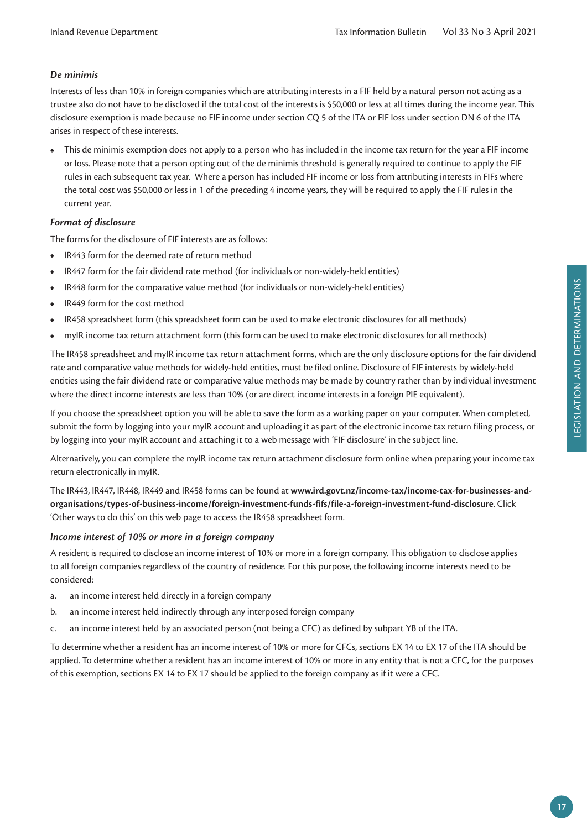#### *De minimis*

Interests of less than 10% in foreign companies which are attributing interests in a FIF held by a natural person not acting as a trustee also do not have to be disclosed if the total cost of the interests is \$50,000 or less at all times during the income year. This disclosure exemption is made because no FIF income under section CQ 5 of the ITA or FIF loss under section DN 6 of the ITA arises in respect of these interests.

**•** This de minimis exemption does not apply to a person who has included in the income tax return for the year a FIF income or loss. Please note that a person opting out of the de minimis threshold is generally required to continue to apply the FIF rules in each subsequent tax year. Where a person has included FIF income or loss from attributing interests in FIFs where the total cost was \$50,000 or less in 1 of the preceding 4 income years, they will be required to apply the FIF rules in the current year.

#### *Format of disclosure*

The forms for the disclosure of FIF interests are as follows:

- IR443 form for the deemed rate of return method
- IR447 form for the fair dividend rate method (for individuals or non-widely-held entities)
- IR448 form for the comparative value method (for individuals or non-widely-held entities)
- IR449 form for the cost method
- IR458 spreadsheet form (this spreadsheet form can be used to make electronic disclosures for all methods)
- myIR income tax return attachment form (this form can be used to make electronic disclosures for all methods)

The IR458 spreadsheet and myIR income tax return attachment forms, which are the only disclosure options for the fair dividend rate and comparative value methods for widely-held entities, must be filed online. Disclosure of FIF interests by widely-held entities using the fair dividend rate or comparative value methods may be made by country rather than by individual investment where the direct income interests are less than 10% (or are direct income interests in a foreign PIE equivalent).

If you choose the spreadsheet option you will be able to save the form as a working paper on your computer. When completed, submit the form by logging into your myIR account and uploading it as part of the electronic income tax return filing process, or by logging into your myIR account and attaching it to a web message with 'FIF disclosure' in the subject line.

Alternatively, you can complete the myIR income tax return attachment disclosure form online when preparing your income tax return electronically in myIR.

The IR443, IR447, IR448, IR449 and IR458 forms can be found at **www.ird.govt.nz/income-tax/income-tax-for-businesses-andorganisations/types-of-business-income/foreign-investment-funds-fifs/file-a-foreign-investment-fund-disclosure**. Click 'Other ways to do this' on this web page to access the IR458 spreadsheet form.

#### *Income interest of 10% or more in a foreign company*

A resident is required to disclose an income interest of 10% or more in a foreign company. This obligation to disclose applies to all foreign companies regardless of the country of residence. For this purpose, the following income interests need to be considered:

- a. an income interest held directly in a foreign company
- b. an income interest held indirectly through any interposed foreign company
- c. an income interest held by an associated person (not being a CFC) as defined by subpart YB of the ITA.

To determine whether a resident has an income interest of 10% or more for CFCs, sections EX 14 to EX 17 of the ITA should be applied. To determine whether a resident has an income interest of 10% or more in any entity that is not a CFC, for the purposes of this exemption, sections EX 14 to EX 17 should be applied to the foreign company as if it were a CFC.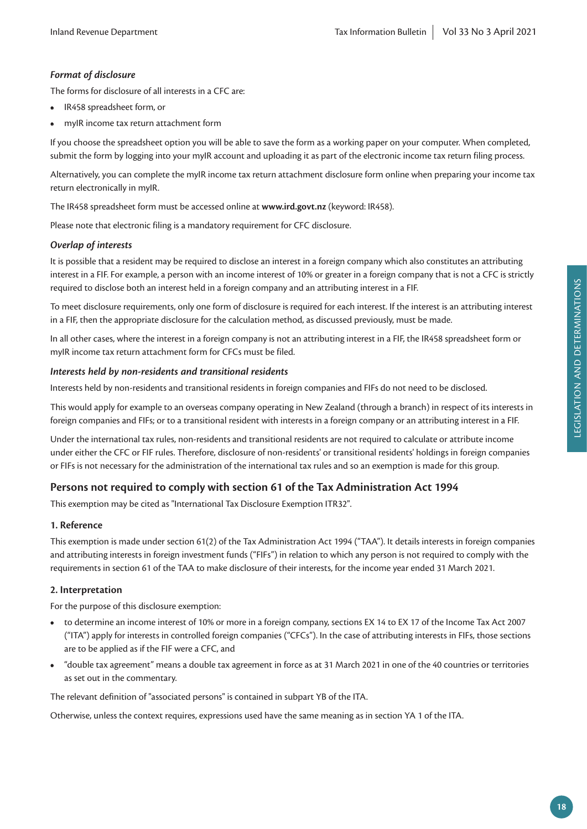#### *Format of disclosure*

The forms for disclosure of all interests in a CFC are:

- IR458 spreadsheet form, or
- myIR income tax return attachment form

If you choose the spreadsheet option you will be able to save the form as a working paper on your computer. When completed, submit the form by logging into your myIR account and uploading it as part of the electronic income tax return filing process.

Alternatively, you can complete the myIR income tax return attachment disclosure form online when preparing your income tax return electronically in myIR.

The IR458 spreadsheet form must be accessed online at **www.ird.govt.nz** (keyword: IR458).

Please note that electronic filing is a mandatory requirement for CFC disclosure.

#### *Overlap of interests*

It is possible that a resident may be required to disclose an interest in a foreign company which also constitutes an attributing interest in a FIF. For example, a person with an income interest of 10% or greater in a foreign company that is not a CFC is strictly required to disclose both an interest held in a foreign company and an attributing interest in a FIF.

To meet disclosure requirements, only one form of disclosure is required for each interest. If the interest is an attributing interest in a FIF, then the appropriate disclosure for the calculation method, as discussed previously, must be made.

In all other cases, where the interest in a foreign company is not an attributing interest in a FIF, the IR458 spreadsheet form or myIR income tax return attachment form for CFCs must be filed.

#### *Interests held by non-residents and transitional residents*

Interests held by non-residents and transitional residents in foreign companies and FIFs do not need to be disclosed.

This would apply for example to an overseas company operating in New Zealand (through a branch) in respect of its interests in foreign companies and FIFs; or to a transitional resident with interests in a foreign company or an attributing interest in a FIF.

Under the international tax rules, non-residents and transitional residents are not required to calculate or attribute income under either the CFC or FIF rules. Therefore, disclosure of non-residents' or transitional residents' holdings in foreign companies or FIFs is not necessary for the administration of the international tax rules and so an exemption is made for this group.

#### **Persons not required to comply with section 61 of the Tax Administration Act 1994**

This exemption may be cited as "International Tax Disclosure Exemption ITR32".

#### **1. Reference**

This exemption is made under section 61(2) of the Tax Administration Act 1994 ("TAA"). It details interests in foreign companies and attributing interests in foreign investment funds ("FIFs") in relation to which any person is not required to comply with the requirements in section 61 of the TAA to make disclosure of their interests, for the income year ended 31 March 2021.

#### **2. Interpretation**

For the purpose of this disclosure exemption:

- to determine an income interest of 10% or more in a foreign company, sections EX 14 to EX 17 of the Income Tax Act 2007 ("ITA") apply for interests in controlled foreign companies ("CFCs"). In the case of attributing interests in FIFs, those sections are to be applied as if the FIF were a CFC, and
- "double tax agreement" means a double tax agreement in force as at 31 March 2021 in one of the 40 countries or territories as set out in the commentary.

The relevant definition of "associated persons" is contained in subpart YB of the ITA.

Otherwise, unless the context requires, expressions used have the same meaning as in section YA 1 of the ITA.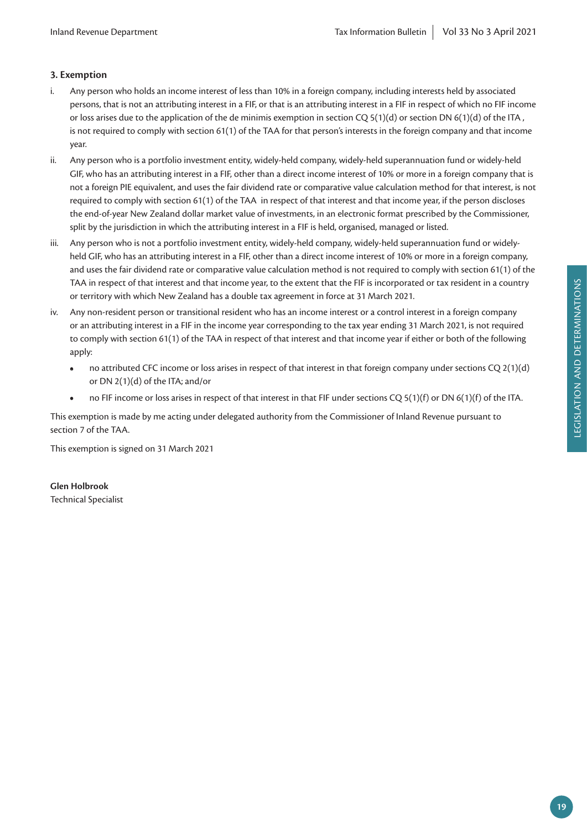#### **3. Exemption**

- i. Any person who holds an income interest of less than 10% in a foreign company, including interests held by associated persons, that is not an attributing interest in a FIF, or that is an attributing interest in a FIF in respect of which no FIF income or loss arises due to the application of the de minimis exemption in section CQ 5(1)(d) or section DN 6(1)(d) of the ITA , is not required to comply with section 61(1) of the TAA for that person's interests in the foreign company and that income year.
- ii. Any person who is a portfolio investment entity, widely-held company, widely-held superannuation fund or widely-held GIF, who has an attributing interest in a FIF, other than a direct income interest of 10% or more in a foreign company that is not a foreign PIE equivalent, and uses the fair dividend rate or comparative value calculation method for that interest, is not required to comply with section 61(1) of the TAA in respect of that interest and that income year, if the person discloses the end-of-year New Zealand dollar market value of investments, in an electronic format prescribed by the Commissioner, split by the jurisdiction in which the attributing interest in a FIF is held, organised, managed or listed.
- iii. Any person who is not a portfolio investment entity, widely-held company, widely-held superannuation fund or widelyheld GIF, who has an attributing interest in a FIF, other than a direct income interest of 10% or more in a foreign company, and uses the fair dividend rate or comparative value calculation method is not required to comply with section 61(1) of the TAA in respect of that interest and that income year, to the extent that the FIF is incorporated or tax resident in a country or territory with which New Zealand has a double tax agreement in force at 31 March 2021.
- iv. Any non-resident person or transitional resident who has an income interest or a control interest in a foreign company or an attributing interest in a FIF in the income year corresponding to the tax year ending 31 March 2021, is not required to comply with section 61(1) of the TAA in respect of that interest and that income year if either or both of the following apply:
	- no attributed CFC income or loss arises in respect of that interest in that foreign company under sections CQ 2(1)(d) or DN 2(1)(d) of the ITA; and/or
	- no FIF income or loss arises in respect of that interest in that FIF under sections CQ 5(1)(f) or DN 6(1)(f) of the ITA.

This exemption is made by me acting under delegated authority from the Commissioner of Inland Revenue pursuant to section 7 of the TAA.

This exemption is signed on 31 March 2021

#### **Glen Holbrook**

Technical Specialist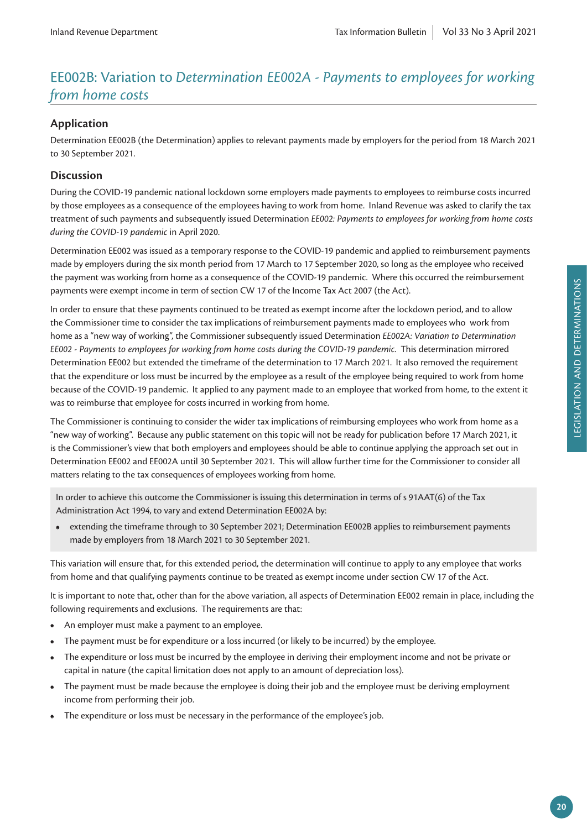# EE002B: Variation to *Determination EE002A - Payments to employees for working from home costs*

#### **Application**

Determination EE002B (the Determination) applies to relevant payments made by employers for the period from 18 March 2021 to 30 September 2021.

#### **Discussion**

During the COVID-19 pandemic national lockdown some employers made payments to employees to reimburse costs incurred by those employees as a consequence of the employees having to work from home. Inland Revenue was asked to clarify the tax treatment of such payments and subsequently issued Determination *EE002: Payments to employees for working from home costs during the COVID-19 pandemic* in April 2020.

Determination EE002 was issued as a temporary response to the COVID-19 pandemic and applied to reimbursement payments made by employers during the six month period from 17 March to 17 September 2020, so long as the employee who received the payment was working from home as a consequence of the COVID-19 pandemic. Where this occurred the reimbursement payments were exempt income in term of section CW 17 of the Income Tax Act 2007 (the Act).

In order to ensure that these payments continued to be treated as exempt income after the lockdown period, and to allow the Commissioner time to consider the tax implications of reimbursement payments made to employees who work from home as a "new way of working", the Commissioner subsequently issued Determination *EE002A: Variation to Determination EE002 - Payments to employees for working from home costs during the COVID-19 pandemic*. This determination mirrored Determination EE002 but extended the timeframe of the determination to 17 March 2021. It also removed the requirement that the expenditure or loss must be incurred by the employee as a result of the employee being required to work from home because of the COVID-19 pandemic. It applied to any payment made to an employee that worked from home, to the extent it was to reimburse that employee for costs incurred in working from home.

The Commissioner is continuing to consider the wider tax implications of reimbursing employees who work from home as a "new way of working". Because any public statement on this topic will not be ready for publication before 17 March 2021, it is the Commissioner's view that both employers and employees should be able to continue applying the approach set out in Determination EE002 and EE002A until 30 September 2021. This will allow further time for the Commissioner to consider all matters relating to the tax consequences of employees working from home.

In order to achieve this outcome the Commissioner is issuing this determination in terms of s 91AAT(6) of the Tax Administration Act 1994, to vary and extend Determination EE002A by:

**•** extending the timeframe through to 30 September 2021; Determination EE002B applies to reimbursement payments made by employers from 18 March 2021 to 30 September 2021.

This variation will ensure that, for this extended period, the determination will continue to apply to any employee that works from home and that qualifying payments continue to be treated as exempt income under section CW 17 of the Act.

It is important to note that, other than for the above variation, all aspects of Determination EE002 remain in place, including the following requirements and exclusions. The requirements are that:

- An employer must make a payment to an employee.
- The payment must be for expenditure or a loss incurred (or likely to be incurred) by the employee.
- The expenditure or loss must be incurred by the employee in deriving their employment income and not be private or capital in nature (the capital limitation does not apply to an amount of depreciation loss).
- The payment must be made because the employee is doing their job and the employee must be deriving employment income from performing their job.
- The expenditure or loss must be necessary in the performance of the employee's job.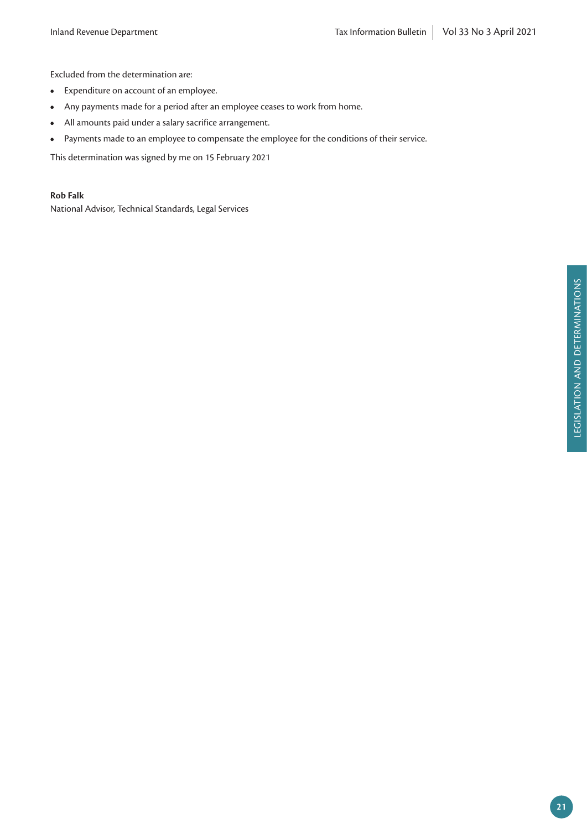Excluded from the determination are:

- Expenditure on account of an employee.
- Any payments made for a period after an employee ceases to work from home.
- All amounts paid under a salary sacrifice arrangement.
- Payments made to an employee to compensate the employee for the conditions of their service.

This determination was signed by me on 15 February 2021

**Rob Falk**

National Advisor, Technical Standards, Legal Services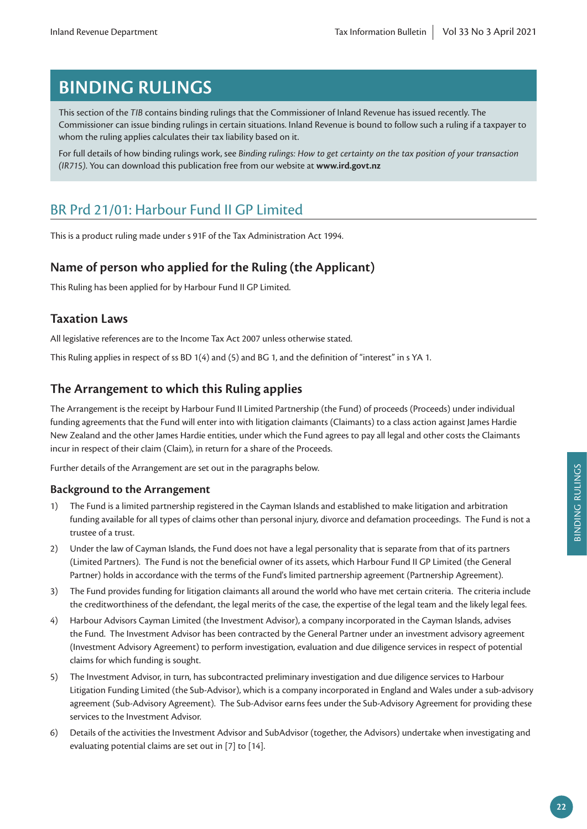# **BINDING RULINGS**

This section of the *TIB* contains binding rulings that the Commissioner of Inland Revenue has issued recently. The Commissioner can issue binding rulings in certain situations. Inland Revenue is bound to follow such a ruling if a taxpayer to whom the ruling applies calculates their tax liability based on it.

For full details of how binding rulings work, see *Binding rulings: How to get certainty on the tax position of your transaction (IR715)*. You can download this publication free from our website at **www.ird.govt.nz**

# BR Prd 21/01: Harbour Fund II GP Limited

This is a product ruling made under s 91F of the Tax Administration Act 1994.

# **Name of person who applied for the Ruling (the Applicant)**

This Ruling has been applied for by Harbour Fund II GP Limited.

# **Taxation Laws**

All legislative references are to the Income Tax Act 2007 unless otherwise stated.

This Ruling applies in respect of ss BD 1(4) and (5) and BG 1, and the definition of "interest" in s YA 1.

# **The Arrangement to which this Ruling applies**

The Arrangement is the receipt by Harbour Fund II Limited Partnership (the Fund) of proceeds (Proceeds) under individual funding agreements that the Fund will enter into with litigation claimants (Claimants) to a class action against James Hardie New Zealand and the other James Hardie entities, under which the Fund agrees to pay all legal and other costs the Claimants incur in respect of their claim (Claim), in return for a share of the Proceeds.

Further details of the Arrangement are set out in the paragraphs below.

#### **Background to the Arrangement**

- 1) The Fund is a limited partnership registered in the Cayman Islands and established to make litigation and arbitration funding available for all types of claims other than personal injury, divorce and defamation proceedings. The Fund is not a trustee of a trust.
- 2) Under the law of Cayman Islands, the Fund does not have a legal personality that is separate from that of its partners (Limited Partners). The Fund is not the beneficial owner of its assets, which Harbour Fund II GP Limited (the General Partner) holds in accordance with the terms of the Fund's limited partnership agreement (Partnership Agreement).
- 3) The Fund provides funding for litigation claimants all around the world who have met certain criteria. The criteria include the creditworthiness of the defendant, the legal merits of the case, the expertise of the legal team and the likely legal fees.
- 4) Harbour Advisors Cayman Limited (the Investment Advisor), a company incorporated in the Cayman Islands, advises the Fund. The Investment Advisor has been contracted by the General Partner under an investment advisory agreement (Investment Advisory Agreement) to perform investigation, evaluation and due diligence services in respect of potential claims for which funding is sought.
- 5) The Investment Advisor, in turn, has subcontracted preliminary investigation and due diligence services to Harbour Litigation Funding Limited (the Sub-Advisor), which is a company incorporated in England and Wales under a sub-advisory agreement (Sub-Advisory Agreement). The Sub-Advisor earns fees under the Sub-Advisory Agreement for providing these services to the Investment Advisor.
- 6) Details of the activities the Investment Advisor and SubAdvisor (together, the Advisors) undertake when investigating and evaluating potential claims are set out in [7] to [14].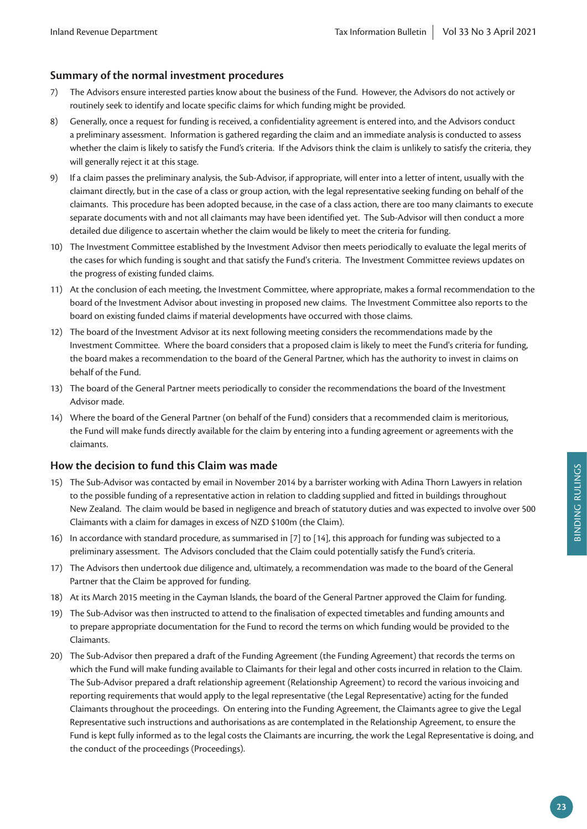### **Summary of the normal investment procedures**

- 7) The Advisors ensure interested parties know about the business of the Fund. However, the Advisors do not actively or routinely seek to identify and locate specific claims for which funding might be provided.
- 8) Generally, once a request for funding is received, a confidentiality agreement is entered into, and the Advisors conduct a preliminary assessment. Information is gathered regarding the claim and an immediate analysis is conducted to assess whether the claim is likely to satisfy the Fund's criteria. If the Advisors think the claim is unlikely to satisfy the criteria, they will generally reject it at this stage.
- 9) If a claim passes the preliminary analysis, the Sub-Advisor, if appropriate, will enter into a letter of intent, usually with the claimant directly, but in the case of a class or group action, with the legal representative seeking funding on behalf of the claimants. This procedure has been adopted because, in the case of a class action, there are too many claimants to execute separate documents with and not all claimants may have been identified yet. The Sub-Advisor will then conduct a more detailed due diligence to ascertain whether the claim would be likely to meet the criteria for funding.
- 10) The Investment Committee established by the Investment Advisor then meets periodically to evaluate the legal merits of the cases for which funding is sought and that satisfy the Fund's criteria. The Investment Committee reviews updates on the progress of existing funded claims.
- 11) At the conclusion of each meeting, the Investment Committee, where appropriate, makes a formal recommendation to the board of the Investment Advisor about investing in proposed new claims. The Investment Committee also reports to the board on existing funded claims if material developments have occurred with those claims.
- 12) The board of the Investment Advisor at its next following meeting considers the recommendations made by the Investment Committee. Where the board considers that a proposed claim is likely to meet the Fund's criteria for funding, the board makes a recommendation to the board of the General Partner, which has the authority to invest in claims on behalf of the Fund.
- 13) The board of the General Partner meets periodically to consider the recommendations the board of the Investment Advisor made.
- 14) Where the board of the General Partner (on behalf of the Fund) considers that a recommended claim is meritorious, the Fund will make funds directly available for the claim by entering into a funding agreement or agreements with the claimants.

#### **How the decision to fund this Claim was made**

- 15) The Sub-Advisor was contacted by email in November 2014 by a barrister working with Adina Thorn Lawyers in relation to the possible funding of a representative action in relation to cladding supplied and fitted in buildings throughout New Zealand. The claim would be based in negligence and breach of statutory duties and was expected to involve over 500 Claimants with a claim for damages in excess of NZD \$100m (the Claim).
- 16) In accordance with standard procedure, as summarised in [7] to [14], this approach for funding was subjected to a preliminary assessment. The Advisors concluded that the Claim could potentially satisfy the Fund's criteria.
- 17) The Advisors then undertook due diligence and, ultimately, a recommendation was made to the board of the General Partner that the Claim be approved for funding.
- 18) At its March 2015 meeting in the Cayman Islands, the board of the General Partner approved the Claim for funding.
- 19) The Sub-Advisor was then instructed to attend to the finalisation of expected timetables and funding amounts and to prepare appropriate documentation for the Fund to record the terms on which funding would be provided to the Claimants.
- 20) The Sub-Advisor then prepared a draft of the Funding Agreement (the Funding Agreement) that records the terms on which the Fund will make funding available to Claimants for their legal and other costs incurred in relation to the Claim. The Sub-Advisor prepared a draft relationship agreement (Relationship Agreement) to record the various invoicing and reporting requirements that would apply to the legal representative (the Legal Representative) acting for the funded Claimants throughout the proceedings. On entering into the Funding Agreement, the Claimants agree to give the Legal Representative such instructions and authorisations as are contemplated in the Relationship Agreement, to ensure the Fund is kept fully informed as to the legal costs the Claimants are incurring, the work the Legal Representative is doing, and the conduct of the proceedings (Proceedings).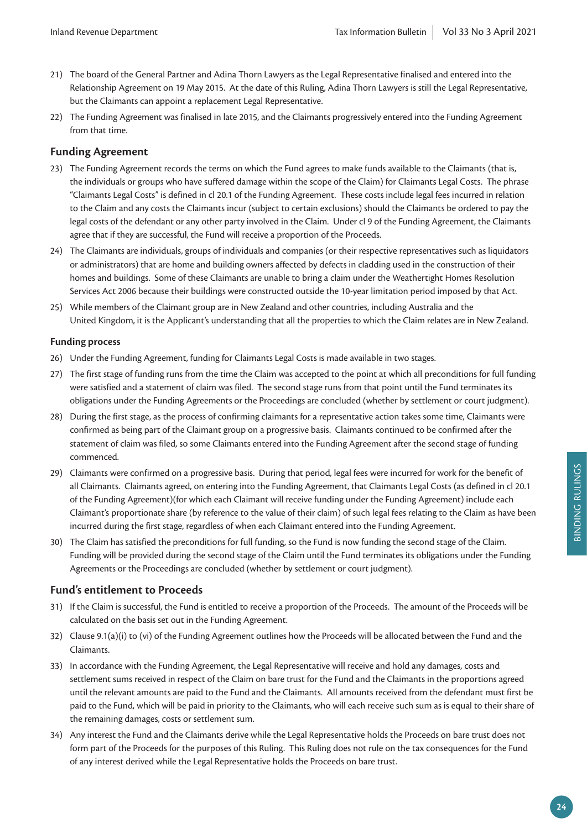- 21) The board of the General Partner and Adina Thorn Lawyers as the Legal Representative finalised and entered into the Relationship Agreement on 19 May 2015. At the date of this Ruling, Adina Thorn Lawyers is still the Legal Representative, but the Claimants can appoint a replacement Legal Representative.
- 22) The Funding Agreement was finalised in late 2015, and the Claimants progressively entered into the Funding Agreement from that time.

#### **Funding Agreement**

- 23) The Funding Agreement records the terms on which the Fund agrees to make funds available to the Claimants (that is, the individuals or groups who have suffered damage within the scope of the Claim) for Claimants Legal Costs. The phrase "Claimants Legal Costs" is defined in cl 20.1 of the Funding Agreement. These costs include legal fees incurred in relation to the Claim and any costs the Claimants incur (subject to certain exclusions) should the Claimants be ordered to pay the legal costs of the defendant or any other party involved in the Claim. Under cl 9 of the Funding Agreement, the Claimants agree that if they are successful, the Fund will receive a proportion of the Proceeds.
- 24) The Claimants are individuals, groups of individuals and companies (or their respective representatives such as liquidators or administrators) that are home and building owners affected by defects in cladding used in the construction of their homes and buildings. Some of these Claimants are unable to bring a claim under the Weathertight Homes Resolution Services Act 2006 because their buildings were constructed outside the 10-year limitation period imposed by that Act.
- 25) While members of the Claimant group are in New Zealand and other countries, including Australia and the United Kingdom, it is the Applicant's understanding that all the properties to which the Claim relates are in New Zealand.

#### **Funding process**

- 26) Under the Funding Agreement, funding for Claimants Legal Costs is made available in two stages.
- 27) The first stage of funding runs from the time the Claim was accepted to the point at which all preconditions for full funding were satisfied and a statement of claim was filed. The second stage runs from that point until the Fund terminates its obligations under the Funding Agreements or the Proceedings are concluded (whether by settlement or court judgment).
- 28) During the first stage, as the process of confirming claimants for a representative action takes some time, Claimants were confirmed as being part of the Claimant group on a progressive basis. Claimants continued to be confirmed after the statement of claim was filed, so some Claimants entered into the Funding Agreement after the second stage of funding commenced.
- 29) Claimants were confirmed on a progressive basis. During that period, legal fees were incurred for work for the benefit of all Claimants. Claimants agreed, on entering into the Funding Agreement, that Claimants Legal Costs (as defined in cl 20.1 of the Funding Agreement)(for which each Claimant will receive funding under the Funding Agreement) include each Claimant's proportionate share (by reference to the value of their claim) of such legal fees relating to the Claim as have been incurred during the first stage, regardless of when each Claimant entered into the Funding Agreement.
- 30) The Claim has satisfied the preconditions for full funding, so the Fund is now funding the second stage of the Claim. Funding will be provided during the second stage of the Claim until the Fund terminates its obligations under the Funding Agreements or the Proceedings are concluded (whether by settlement or court judgment).

#### **Fund's entitlement to Proceeds**

- 31) If the Claim is successful, the Fund is entitled to receive a proportion of the Proceeds. The amount of the Proceeds will be calculated on the basis set out in the Funding Agreement.
- 32) Clause 9.1(a)(i) to (vi) of the Funding Agreement outlines how the Proceeds will be allocated between the Fund and the Claimants.
- 33) In accordance with the Funding Agreement, the Legal Representative will receive and hold any damages, costs and settlement sums received in respect of the Claim on bare trust for the Fund and the Claimants in the proportions agreed until the relevant amounts are paid to the Fund and the Claimants. All amounts received from the defendant must first be paid to the Fund, which will be paid in priority to the Claimants, who will each receive such sum as is equal to their share of the remaining damages, costs or settlement sum.
- 34) Any interest the Fund and the Claimants derive while the Legal Representative holds the Proceeds on bare trust does not form part of the Proceeds for the purposes of this Ruling. This Ruling does not rule on the tax consequences for the Fund of any interest derived while the Legal Representative holds the Proceeds on bare trust.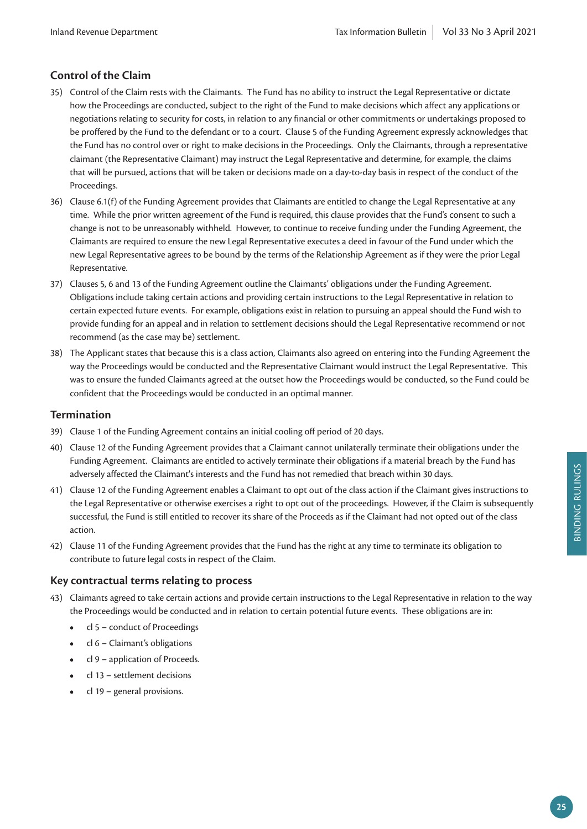## **Control of the Claim**

- 35) Control of the Claim rests with the Claimants. The Fund has no ability to instruct the Legal Representative or dictate how the Proceedings are conducted, subject to the right of the Fund to make decisions which affect any applications or negotiations relating to security for costs, in relation to any financial or other commitments or undertakings proposed to be proffered by the Fund to the defendant or to a court. Clause 5 of the Funding Agreement expressly acknowledges that the Fund has no control over or right to make decisions in the Proceedings. Only the Claimants, through a representative claimant (the Representative Claimant) may instruct the Legal Representative and determine, for example, the claims that will be pursued, actions that will be taken or decisions made on a day-to-day basis in respect of the conduct of the Proceedings.
- 36) Clause 6.1(f) of the Funding Agreement provides that Claimants are entitled to change the Legal Representative at any time. While the prior written agreement of the Fund is required, this clause provides that the Fund's consent to such a change is not to be unreasonably withheld. However, to continue to receive funding under the Funding Agreement, the Claimants are required to ensure the new Legal Representative executes a deed in favour of the Fund under which the new Legal Representative agrees to be bound by the terms of the Relationship Agreement as if they were the prior Legal Representative.
- 37) Clauses 5, 6 and 13 of the Funding Agreement outline the Claimants' obligations under the Funding Agreement. Obligations include taking certain actions and providing certain instructions to the Legal Representative in relation to certain expected future events. For example, obligations exist in relation to pursuing an appeal should the Fund wish to provide funding for an appeal and in relation to settlement decisions should the Legal Representative recommend or not recommend (as the case may be) settlement.
- 38) The Applicant states that because this is a class action, Claimants also agreed on entering into the Funding Agreement the way the Proceedings would be conducted and the Representative Claimant would instruct the Legal Representative. This was to ensure the funded Claimants agreed at the outset how the Proceedings would be conducted, so the Fund could be confident that the Proceedings would be conducted in an optimal manner.

#### **Termination**

- 39) Clause 1 of the Funding Agreement contains an initial cooling off period of 20 days.
- 40) Clause 12 of the Funding Agreement provides that a Claimant cannot unilaterally terminate their obligations under the Funding Agreement. Claimants are entitled to actively terminate their obligations if a material breach by the Fund has adversely affected the Claimant's interests and the Fund has not remedied that breach within 30 days.
- 41) Clause 12 of the Funding Agreement enables a Claimant to opt out of the class action if the Claimant gives instructions to the Legal Representative or otherwise exercises a right to opt out of the proceedings. However, if the Claim is subsequently successful, the Fund is still entitled to recover its share of the Proceeds as if the Claimant had not opted out of the class action.
- 42) Clause 11 of the Funding Agreement provides that the Fund has the right at any time to terminate its obligation to contribute to future legal costs in respect of the Claim.

#### **Key contractual terms relating to process**

- 43) Claimants agreed to take certain actions and provide certain instructions to the Legal Representative in relation to the way the Proceedings would be conducted and in relation to certain potential future events. These obligations are in:
	- cl 5 conduct of Proceedings
	- cl 6 Claimant's obligations
	- cl 9 application of Proceeds.
	- cl 13 settlement decisions
	- cl 19 general provisions.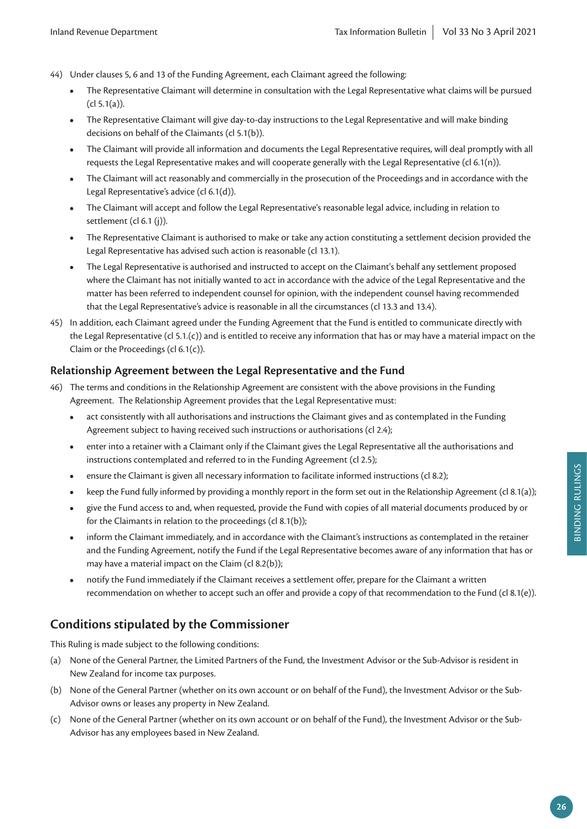- 44) Under clauses 5, 6 and 13 of the Funding Agreement, each Claimant agreed the following:
	- The Representative Claimant will determine in consultation with the Legal Representative what claims will be pursued (cl 5.1(a)).
	- The Representative Claimant will give day-to-day instructions to the Legal Representative and will make binding decisions on behalf of the Claimants (cl 5.1(b)).
	- The Claimant will provide all information and documents the Legal Representative requires, will deal promptly with all requests the Legal Representative makes and will cooperate generally with the Legal Representative (cl 6.1(n)).
	- The Claimant will act reasonably and commercially in the prosecution of the Proceedings and in accordance with the Legal Representative's advice (cl 6.1(d)).
	- The Claimant will accept and follow the Legal Representative's reasonable legal advice, including in relation to settlement (cl 6.1 (j)).
	- The Representative Claimant is authorised to make or take any action constituting a settlement decision provided the Legal Representative has advised such action is reasonable (cl 13.1).
	- The Legal Representative is authorised and instructed to accept on the Claimant's behalf any settlement proposed where the Claimant has not initially wanted to act in accordance with the advice of the Legal Representative and the matter has been referred to independent counsel for opinion, with the independent counsel having recommended that the Legal Representative's advice is reasonable in all the circumstances (cl 13.3 and 13.4).
- 45) In addition, each Claimant agreed under the Funding Agreement that the Fund is entitled to communicate directly with the Legal Representative (cl 5.1.(c)) and is entitled to receive any information that has or may have a material impact on the Claim or the Proceedings (cl 6.1(c)).

#### **Relationship Agreement between the Legal Representative and the Fund**

- 46) The terms and conditions in the Relationship Agreement are consistent with the above provisions in the Funding Agreement. The Relationship Agreement provides that the Legal Representative must:
	- act consistently with all authorisations and instructions the Claimant gives and as contemplated in the Funding Agreement subject to having received such instructions or authorisations (cl 2.4);
	- enter into a retainer with a Claimant only if the Claimant gives the Legal Representative all the authorisations and instructions contemplated and referred to in the Funding Agreement (cl 2.5);
	- ensure the Claimant is given all necessary information to facilitate informed instructions (cl 8.2);
	- keep the Fund fully informed by providing a monthly report in the form set out in the Relationship Agreement (cl 8.1(a));
	- give the Fund access to and, when requested, provide the Fund with copies of all material documents produced by or for the Claimants in relation to the proceedings (cl 8.1(b));
	- inform the Claimant immediately, and in accordance with the Claimant's instructions as contemplated in the retainer and the Funding Agreement, notify the Fund if the Legal Representative becomes aware of any information that has or may have a material impact on the Claim (cl 8.2(b));
	- notify the Fund immediately if the Claimant receives a settlement offer, prepare for the Claimant a written recommendation on whether to accept such an offer and provide a copy of that recommendation to the Fund (cl 8.1(e)).

# **Conditions stipulated by the Commissioner**

This Ruling is made subject to the following conditions:

- (a) None of the General Partner, the Limited Partners of the Fund, the Investment Advisor or the Sub-Advisor is resident in New Zealand for income tax purposes.
- (b) None of the General Partner (whether on its own account or on behalf of the Fund), the Investment Advisor or the Sub-Advisor owns or leases any property in New Zealand.
- (c) None of the General Partner (whether on its own account or on behalf of the Fund), the Investment Advisor or the Sub-Advisor has any employees based in New Zealand.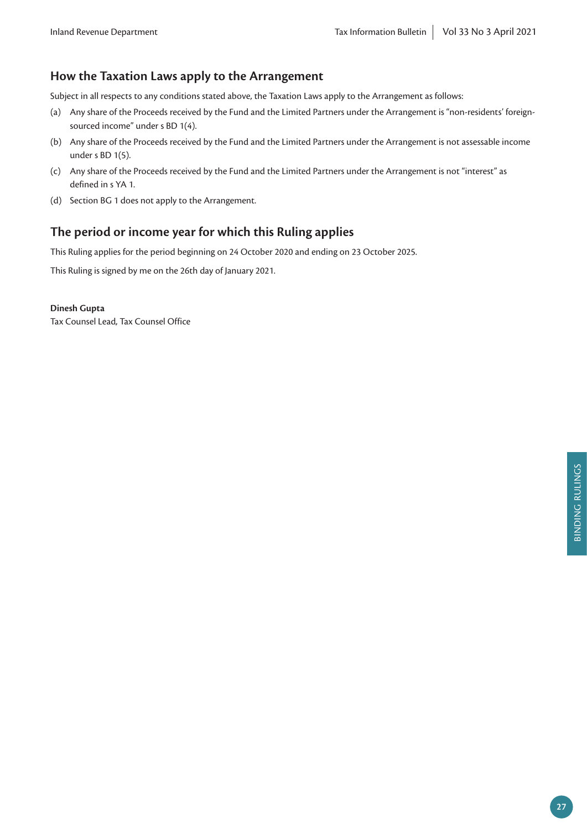# **How the Taxation Laws apply to the Arrangement**

Subject in all respects to any conditions stated above, the Taxation Laws apply to the Arrangement as follows:

- (a) Any share of the Proceeds received by the Fund and the Limited Partners under the Arrangement is "non-residents' foreignsourced income" under s BD 1(4).
- (b) Any share of the Proceeds received by the Fund and the Limited Partners under the Arrangement is not assessable income under s BD 1(5).
- (c) Any share of the Proceeds received by the Fund and the Limited Partners under the Arrangement is not "interest" as defined in s YA 1.
- (d) Section BG 1 does not apply to the Arrangement.

# **The period or income year for which this Ruling applies**

This Ruling applies for the period beginning on 24 October 2020 and ending on 23 October 2025.

This Ruling is signed by me on the 26th day of January 2021.

#### **Dinesh Gupta**

Tax Counsel Lead, Tax Counsel Office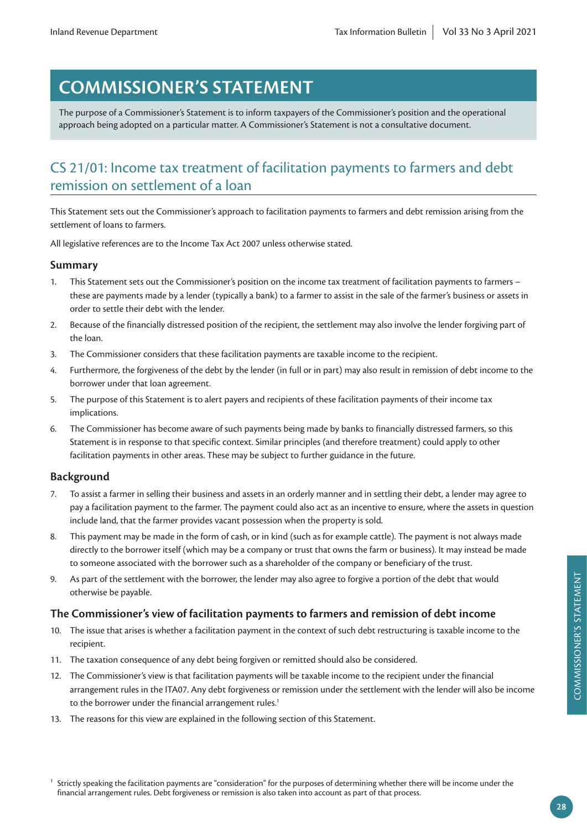# **COMMISSIONER'S STATEMENT**

The purpose of a Commissioner's Statement is to inform taxpayers of the Commissioner's position and the operational approach being adopted on a particular matter. A Commissioner's Statement is not a consultative document.

# CS 21/01: Income tax treatment of facilitation payments to farmers and debt remission on settlement of a loan

This Statement sets out the Commissioner's approach to facilitation payments to farmers and debt remission arising from the settlement of loans to farmers.

All legislative references are to the Income Tax Act 2007 unless otherwise stated.

#### **Summary**

- 1. This Statement sets out the Commissioner's position on the income tax treatment of facilitation payments to farmers these are payments made by a lender (typically a bank) to a farmer to assist in the sale of the farmer's business or assets in order to settle their debt with the lender.
- 2. Because of the financially distressed position of the recipient, the settlement may also involve the lender forgiving part of the loan.
- 3. The Commissioner considers that these facilitation payments are taxable income to the recipient.
- 4. Furthermore, the forgiveness of the debt by the lender (in full or in part) may also result in remission of debt income to the borrower under that loan agreement.
- 5. The purpose of this Statement is to alert payers and recipients of these facilitation payments of their income tax implications.
- 6. The Commissioner has become aware of such payments being made by banks to financially distressed farmers, so this Statement is in response to that specific context. Similar principles (and therefore treatment) could apply to other facilitation payments in other areas. These may be subject to further guidance in the future.

#### **Background**

- 7. To assist a farmer in selling their business and assets in an orderly manner and in settling their debt, a lender may agree to pay a facilitation payment to the farmer. The payment could also act as an incentive to ensure, where the assets in question include land, that the farmer provides vacant possession when the property is sold.
- 8. This payment may be made in the form of cash, or in kind (such as for example cattle). The payment is not always made directly to the borrower itself (which may be a company or trust that owns the farm or business). It may instead be made to someone associated with the borrower such as a shareholder of the company or beneficiary of the trust.
- 9. As part of the settlement with the borrower, the lender may also agree to forgive a portion of the debt that would otherwise be payable.

#### **The Commissioner's view of facilitation payments to farmers and remission of debt income**

- 10. The issue that arises is whether a facilitation payment in the context of such debt restructuring is taxable income to the recipient.
- 11. The taxation consequence of any debt being forgiven or remitted should also be considered.
- 12. The Commissioner's view is that facilitation payments will be taxable income to the recipient under the financial arrangement rules in the ITA07. Any debt forgiveness or remission under the settlement with the lender will also be income to the borrower under the financial arrangement rules.<sup>1</sup>
- 13. The reasons for this view are explained in the following section of this Statement.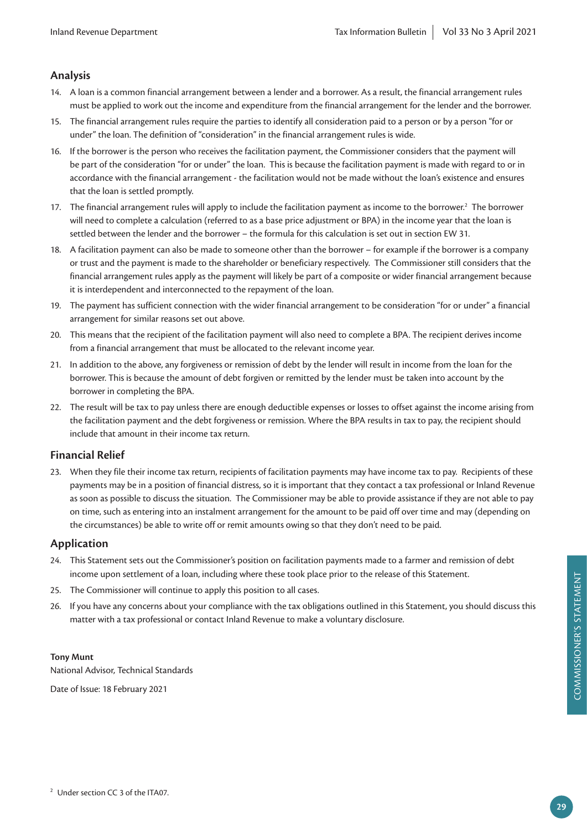## **Analysis**

- 14. A loan is a common financial arrangement between a lender and a borrower. As a result, the financial arrangement rules must be applied to work out the income and expenditure from the financial arrangement for the lender and the borrower.
- 15. The financial arrangement rules require the parties to identify all consideration paid to a person or by a person "for or under" the loan. The definition of "consideration" in the financial arrangement rules is wide.
- 16. If the borrower is the person who receives the facilitation payment, the Commissioner considers that the payment will be part of the consideration "for or under" the loan. This is because the facilitation payment is made with regard to or in accordance with the financial arrangement - the facilitation would not be made without the loan's existence and ensures that the loan is settled promptly.
- 17. The financial arrangement rules will apply to include the facilitation payment as income to the borrower.<sup>2</sup> The borrower will need to complete a calculation (referred to as a base price adjustment or BPA) in the income year that the loan is settled between the lender and the borrower – the formula for this calculation is set out in section EW 31.
- 18. A facilitation payment can also be made to someone other than the borrower for example if the borrower is a company or trust and the payment is made to the shareholder or beneficiary respectively. The Commissioner still considers that the financial arrangement rules apply as the payment will likely be part of a composite or wider financial arrangement because it is interdependent and interconnected to the repayment of the loan.
- 19. The payment has sufficient connection with the wider financial arrangement to be consideration "for or under" a financial arrangement for similar reasons set out above.
- 20. This means that the recipient of the facilitation payment will also need to complete a BPA. The recipient derives income from a financial arrangement that must be allocated to the relevant income year.
- 21. In addition to the above, any forgiveness or remission of debt by the lender will result in income from the loan for the borrower. This is because the amount of debt forgiven or remitted by the lender must be taken into account by the borrower in completing the BPA.
- 22. The result will be tax to pay unless there are enough deductible expenses or losses to offset against the income arising from the facilitation payment and the debt forgiveness or remission. Where the BPA results in tax to pay, the recipient should include that amount in their income tax return.

## **Financial Relief**

23. When they file their income tax return, recipients of facilitation payments may have income tax to pay. Recipients of these payments may be in a position of financial distress, so it is important that they contact a tax professional or Inland Revenue as soon as possible to discuss the situation. The Commissioner may be able to provide assistance if they are not able to pay on time, such as entering into an instalment arrangement for the amount to be paid off over time and may (depending on the circumstances) be able to write off or remit amounts owing so that they don't need to be paid.

#### **Application**

- 24. This Statement sets out the Commissioner's position on facilitation payments made to a farmer and remission of debt income upon settlement of a loan, including where these took place prior to the release of this Statement.
- 25. The Commissioner will continue to apply this position to all cases.
- 26. If you have any concerns about your compliance with the tax obligations outlined in this Statement, you should discuss this matter with a tax professional or contact Inland Revenue to make a voluntary disclosure.

#### **Tony Munt**

National Advisor, Technical Standards

Date of Issue: 18 February 2021